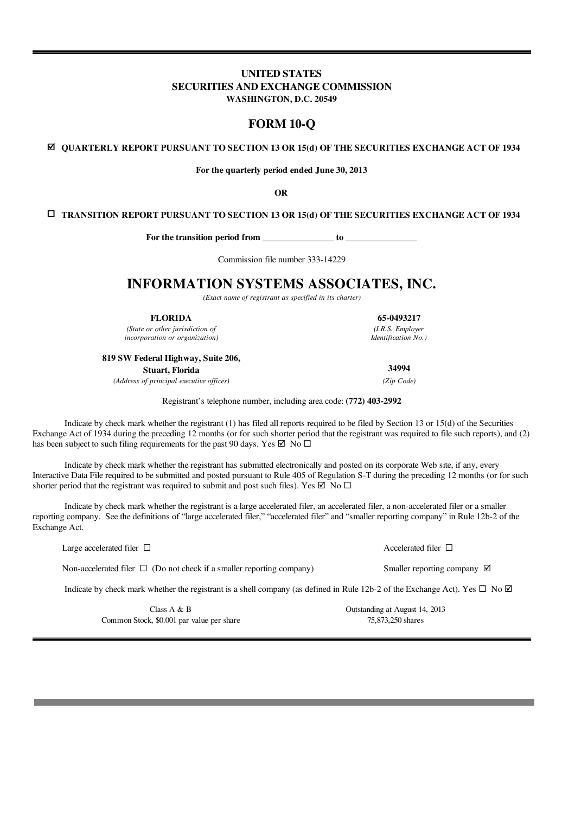## UNITED STATES SECURITIES AND EXCHANGE COMMISSION WASHINGTON, D.C. 20549

## FORM 10-Q

## $\boxtimes$  QUARTERLY REPORT PURSUANT TO SECTION 13 OR 15(d) OF THE SECURITIES EXCHANGE ACT OF 1934

For the quarterly period ended June 30, 2013

OR

## □ TRANSITION REPORT PURSUANT TO SECTION 13 OR 15(d) OF THE SECURITIES EXCHANGE ACT OF 1934

For the transition period from \_\_\_\_\_\_\_\_\_\_\_\_\_\_\_\_ to \_\_\_\_\_\_\_\_\_\_\_\_\_\_\_\_

Commission file number 333-14229

# INFORMATION SYSTEMS ASSOCIATES, INC.

*(Exact name of registrant as specified in its charter)*

FLORIDA 65-0493217

*(State or other jurisdiction of (I.R.S. Employer incorporation or organization) Identification No.)*

819 SW Federal Highway, Suite 206,

Stuart, Florida 34994

*(Address of principal executive offices) (Zip Code)*

Registrant's telephone number, including area code: (772) 403-2992

Indicate by check mark whether the registrant (1) has filed all reports required to be filed by Section 13 or 15(d) of the Securities Exchange Act of 1934 during the preceding 12 months (or for such shorter period that the registrant was required to file such reports), and (2) has been subject to such filing requirements for the past 90 days. Yes  $\boxtimes$  No  $\Box$ 

Indicate by check mark whether the registrant has submitted electronically and posted on its corporate Web site, if any, every Interactive Data File required to be submitted and posted pursuant to Rule 405 of Regulation S-T during the preceding 12 months (or for such shorter period that the registrant was required to submit and post such files). Yes  $\boxtimes$  No  $\Box$ 

Indicate by check mark whether the registrant is a large accelerated filer, an accelerated filer, a non-accelerated filer or a smaller reporting company. See the definitions of "large accelerated filer," "accelerated filer" and "smaller reporting company" in Rule 12b-2 of the Exchange Act.

Non-accelerated filer  $\Box$  (Do not check if a smaller reporting company) Smaller reporting company  $\Box$ 

Indicate by check mark whether the registrant is a shell company (as defined in Rule 12b-2 of the Exchange Act). Yes  $\Box$  No  $\Box$ 

Class A & B Outstanding at August 14, 2013 Common Stock, \$0.001 par value per share 75,873,250 shares

Large accelerated filer  $\Box$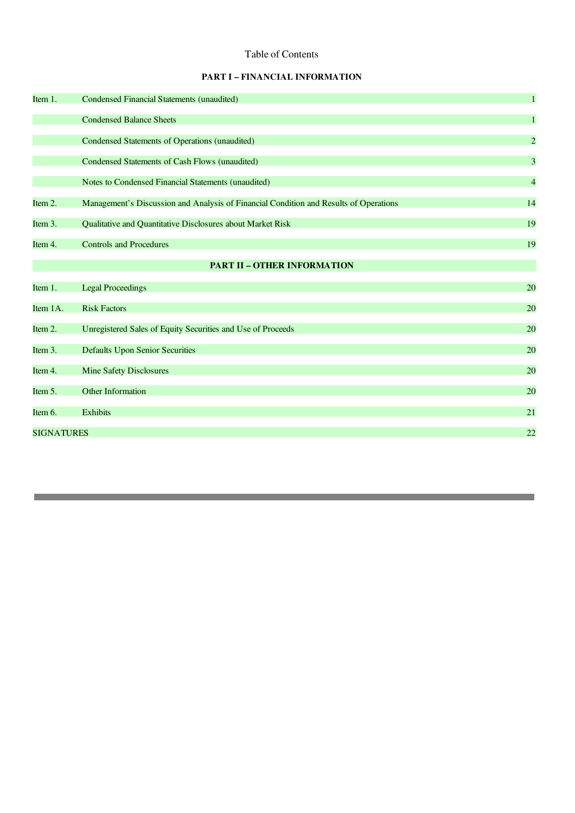## Table of Contents

# PART I – FINANCIAL INFORMATION

| Item 1.           | <b>Condensed Financial Statements (unaudited)</b>                                     | $\mathbf{1}$ |
|-------------------|---------------------------------------------------------------------------------------|--------------|
|                   | <b>Condensed Balance Sheets</b>                                                       | $\mathbf{1}$ |
|                   | Condensed Statements of Operations (unaudited)                                        | $\mathbf{2}$ |
|                   | Condensed Statements of Cash Flows (unaudited)                                        | 3            |
|                   | Notes to Condensed Financial Statements (unaudited)                                   | 4            |
| Item 2.           | Management's Discussion and Analysis of Financial Condition and Results of Operations | 14           |
| Item 3.           | Qualitative and Quantitative Disclosures about Market Risk                            | 19           |
| Item 4.           | <b>Controls and Procedures</b>                                                        | 19           |
|                   | <b>PART II - OTHER INFORMATION</b>                                                    |              |
| Item 1.           | <b>Legal Proceedings</b>                                                              | 20           |
| Item 1A.          | <b>Risk Factors</b>                                                                   | 20           |
| Item 2.           | Unregistered Sales of Equity Securities and Use of Proceeds                           | 20           |
| Item 3.           | <b>Defaults Upon Senior Securities</b>                                                | 20           |
| Item 4.           | <b>Mine Safety Disclosures</b>                                                        | 20           |
| Item 5.           | Other Information                                                                     | 20           |
| Item 6.           | Exhibits                                                                              | 21           |
| <b>SIGNATURES</b> |                                                                                       | 22           |

a series and the series of the series of the series of the series of the series of the series of the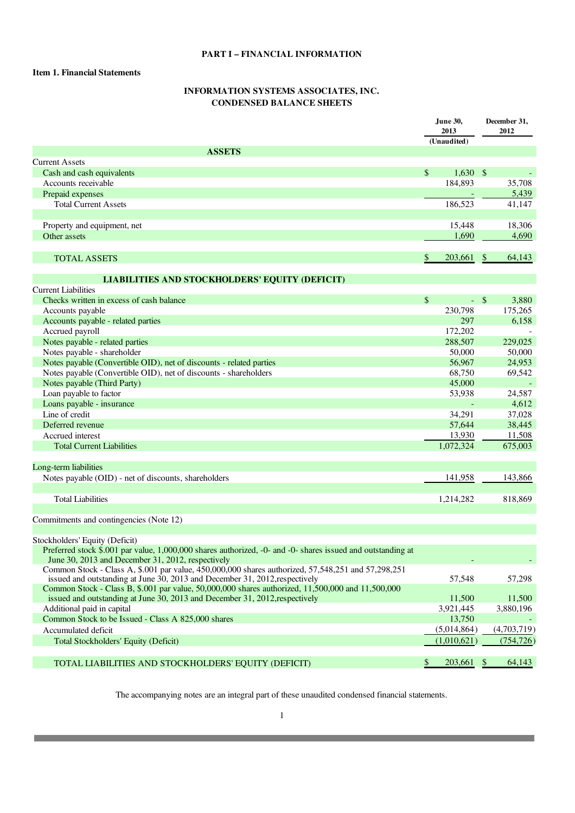## PART I – FINANCIAL INFORMATION

## Item 1. Financial Statements

## INFORMATION SYSTEMS ASSOCIATES, INC. CONDENSED BALANCE SHEETS

|                                                                                                                                                                                  |    |             |               | December 31,<br>2012 |
|----------------------------------------------------------------------------------------------------------------------------------------------------------------------------------|----|-------------|---------------|----------------------|
|                                                                                                                                                                                  |    | (Unaudited) |               |                      |
| <b>ASSETS</b>                                                                                                                                                                    |    |             |               |                      |
| <b>Current Assets</b>                                                                                                                                                            |    |             |               |                      |
| Cash and cash equivalents                                                                                                                                                        | \$ | $1,630$ \$  |               |                      |
| Accounts receivable                                                                                                                                                              |    | 184,893     |               | 35,708               |
| Prepaid expenses                                                                                                                                                                 |    |             |               | 5,439                |
| <b>Total Current Assets</b>                                                                                                                                                      |    | 186,523     |               | 41,147               |
|                                                                                                                                                                                  |    |             |               |                      |
| Property and equipment, net                                                                                                                                                      |    | 15,448      |               | 18,306               |
| Other assets                                                                                                                                                                     |    | 1,690       |               | 4,690                |
|                                                                                                                                                                                  |    |             |               |                      |
| <b>TOTAL ASSETS</b>                                                                                                                                                              | \$ | 203,661     | <sup>\$</sup> | 64,143               |
|                                                                                                                                                                                  |    |             |               |                      |
| <b>LIABILITIES AND STOCKHOLDERS' EQUITY (DEFICIT)</b>                                                                                                                            |    |             |               |                      |
| <b>Current Liabilities</b>                                                                                                                                                       |    |             |               |                      |
| Checks written in excess of cash balance                                                                                                                                         | \$ |             | $-$ \$        | 3,880                |
| Accounts payable                                                                                                                                                                 |    | 230,798     |               | 175,265              |
| Accounts payable - related parties                                                                                                                                               |    | 297         |               | 6.158                |
| Accrued payroll                                                                                                                                                                  |    | 172,202     |               |                      |
| Notes payable - related parties                                                                                                                                                  |    | 288,507     |               | 229,025              |
| Notes payable - shareholder                                                                                                                                                      |    | 50,000      |               | 50,000               |
| Notes payable (Convertible OID), net of discounts - related parties                                                                                                              |    | 56,967      |               | 24,953               |
| Notes payable (Convertible OID), net of discounts - shareholders                                                                                                                 |    | 68,750      |               | 69,542               |
| Notes payable (Third Party)                                                                                                                                                      |    | 45,000      |               |                      |
| Loan payable to factor                                                                                                                                                           |    | 53,938      |               | 24,587               |
| Loans payable - insurance                                                                                                                                                        |    |             |               | 4,612                |
| Line of credit                                                                                                                                                                   |    | 34,291      |               | 37,028               |
| Deferred revenue                                                                                                                                                                 |    | 57,644      |               | 38,445               |
| Accrued interest                                                                                                                                                                 |    | 13,930      |               | 11,508               |
| <b>Total Current Liabilities</b>                                                                                                                                                 |    | 1,072,324   |               | 675,003              |
|                                                                                                                                                                                  |    |             |               |                      |
| Long-term liabilities                                                                                                                                                            |    |             |               |                      |
| Notes payable (OID) - net of discounts, shareholders                                                                                                                             |    | 141,958     |               | 143,866              |
|                                                                                                                                                                                  |    |             |               |                      |
| <b>Total Liabilities</b>                                                                                                                                                         |    | 1,214,282   |               | 818,869              |
|                                                                                                                                                                                  |    |             |               |                      |
| Commitments and contingencies (Note 12)                                                                                                                                          |    |             |               |                      |
|                                                                                                                                                                                  |    |             |               |                      |
| Stockholders' Equity (Deficit)                                                                                                                                                   |    |             |               |                      |
| Preferred stock \$.001 par value, 1,000,000 shares authorized, -0- and -0- shares issued and outstanding at                                                                      |    |             |               |                      |
| June 30, 2013 and December 31, 2012, respectively                                                                                                                                |    |             |               |                      |
| Common Stock - Class A, \$.001 par value, 450,000,000 shares authorized, 57,548,251 and 57,298,251                                                                               |    |             |               |                      |
| issued and outstanding at June 30, 2013 and December 31, 2012, respectively                                                                                                      |    | 57,548      |               | 57,298               |
| Common Stock - Class B, \$.001 par value, 50,000,000 shares authorized, 11,500,000 and 11,500,000<br>issued and outstanding at June 30, 2013 and December 31, 2012, respectively |    | 11,500      |               | 11,500               |
| Additional paid in capital                                                                                                                                                       |    | 3,921,445   |               | 3,880,196            |
| Common Stock to be Issued - Class A 825,000 shares                                                                                                                               |    | 13,750      |               |                      |
| Accumulated deficit                                                                                                                                                              |    | (5,014,864) |               | (4,703,719)          |
|                                                                                                                                                                                  |    | (1,010,621) |               | (754, 726)           |
| <b>Total Stockholders' Equity (Deficit)</b>                                                                                                                                      |    |             |               |                      |
|                                                                                                                                                                                  | \$ |             |               |                      |
| TOTAL LIABILITIES AND STOCKHOLDERS' EQUITY (DEFICIT)                                                                                                                             |    | 203,661     | \$            | 64,143               |

The accompanying notes are an integral part of these unaudited condensed financial statements.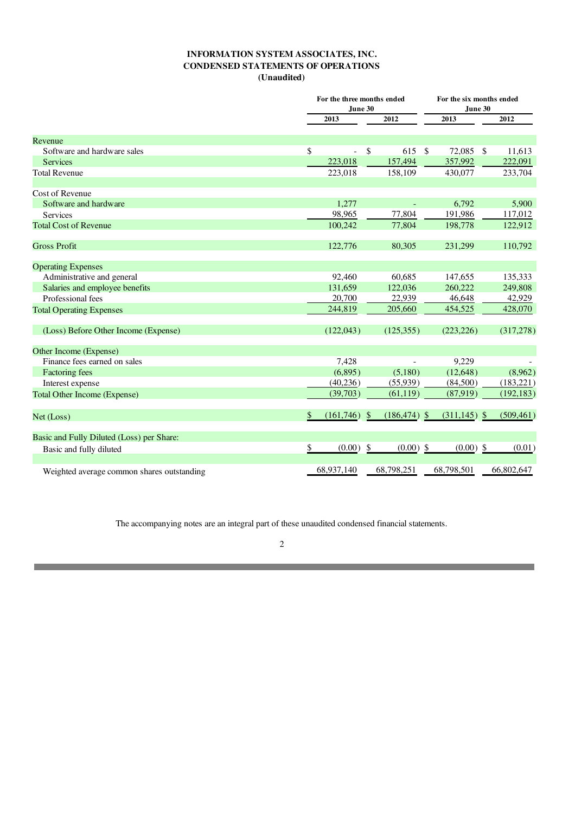# INFORMATION SYSTEM ASSOCIATES, INC. CONDENSED STATEMENTS OF OPERATIONS

(Unaudited)

|                                            | For the three months ended<br>June 30 |               |                 |               | For the six months ended<br>June 30 |               |            |  |  |
|--------------------------------------------|---------------------------------------|---------------|-----------------|---------------|-------------------------------------|---------------|------------|--|--|
|                                            | 2013                                  |               | 2012            |               | 2013                                |               | 2012       |  |  |
| Revenue                                    |                                       |               |                 |               |                                     |               |            |  |  |
| Software and hardware sales                | \$                                    | \$            | 615             | $\mathcal{S}$ | 72,085                              | $\mathcal{S}$ | 11,613     |  |  |
| <b>Services</b>                            | 223,018                               |               | 157,494         |               | 357,992                             |               | 222,091    |  |  |
| <b>Total Revenue</b>                       | 223,018                               |               | 158,109         |               | 430,077                             |               | 233,704    |  |  |
| <b>Cost of Revenue</b>                     |                                       |               |                 |               |                                     |               |            |  |  |
| Software and hardware                      | 1.277                                 |               |                 |               | 6.792                               |               | 5.900      |  |  |
| <b>Services</b>                            | 98,965                                |               | 77,804          |               | 191,986                             |               | 117,012    |  |  |
| <b>Total Cost of Revenue</b>               | 100,242                               |               | 77,804          |               | 198,778                             |               | 122,912    |  |  |
| <b>Gross Profit</b>                        | 122,776                               |               | 80,305          |               | 231,299                             |               | 110,792    |  |  |
| <b>Operating Expenses</b>                  |                                       |               |                 |               |                                     |               |            |  |  |
| Administrative and general                 | 92.460                                |               | 60.685          |               | 147,655                             |               | 135,333    |  |  |
| Salaries and employee benefits             | 131,659                               |               | 122,036         |               | 260,222                             |               | 249,808    |  |  |
| Professional fees                          | 20,700                                |               | 22,939          |               | 46,648                              |               | 42,929     |  |  |
| <b>Total Operating Expenses</b>            | 244,819                               |               | 205,660         |               | 454,525                             |               | 428,070    |  |  |
| (Loss) Before Other Income (Expense)       | (122, 043)                            |               | (125, 355)      |               | (223, 226)                          |               | (317,278)  |  |  |
| Other Income (Expense)                     |                                       |               |                 |               |                                     |               |            |  |  |
| Finance fees earned on sales               | 7,428                                 |               |                 |               | 9.229                               |               |            |  |  |
| <b>Factoring fees</b>                      | (6,895)                               |               | (5,180)         |               | (12, 648)                           |               | (8,962)    |  |  |
| Interest expense                           | (40, 236)                             |               | (55,939)        |               | (84,500)                            |               | (183, 221) |  |  |
| <b>Total Other Income (Expense)</b>        | (39,703)                              |               | (61, 119)       |               | (87,919)                            |               | (192, 183) |  |  |
| Net (Loss)                                 | $(161,746)$ \$                        |               | $(186, 474)$ \$ |               | $(311, 145)$ \$                     |               | (509, 461) |  |  |
| Basic and Fully Diluted (Loss) per Share:  |                                       |               |                 |               |                                     |               |            |  |  |
| Basic and fully diluted                    | \$<br>(0.00)                          | $\frac{1}{2}$ | $(0.00)$ \$     |               | $(0.00)$ \$                         |               | (0.01)     |  |  |
| Weighted average common shares outstanding | 68,937,140                            |               | 68,798,251      |               | 68,798,501                          |               | 66,802,647 |  |  |

The accompanying notes are an integral part of these unaudited condensed financial statements.

2

and the state of the state of the state of the state of the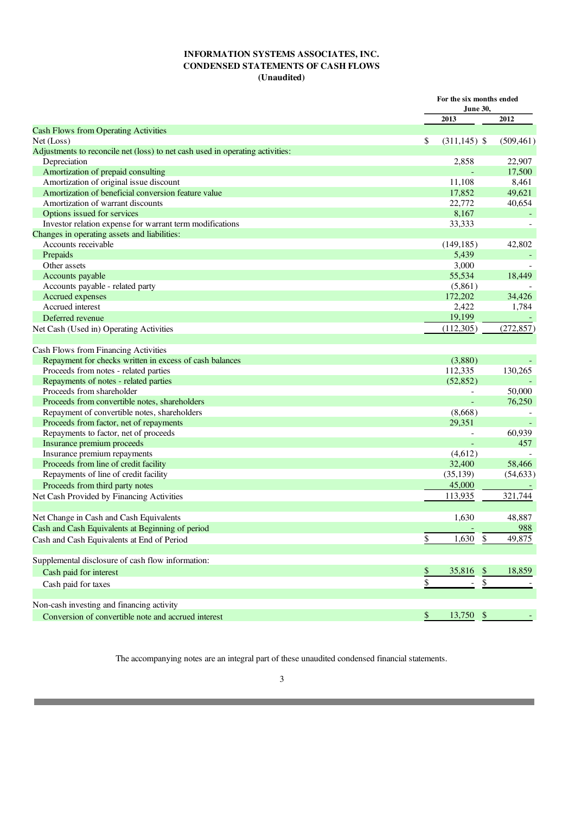## INFORMATION SYSTEMS ASSOCIATES, INC. CONDENSED STATEMENTS OF CASH FLOWS (Unaudited)

|                                                                               |                          | For the six months ended<br><b>June 30,</b> |            |  |
|-------------------------------------------------------------------------------|--------------------------|---------------------------------------------|------------|--|
|                                                                               |                          | 2013                                        | 2012       |  |
| <b>Cash Flows from Operating Activities</b>                                   |                          |                                             |            |  |
| Net (Loss)                                                                    | \$                       | $(311, 145)$ \$                             | (509, 461) |  |
| Adjustments to reconcile net (loss) to net cash used in operating activities: |                          |                                             |            |  |
| Depreciation                                                                  |                          | 2,858                                       | 22,907     |  |
| Amortization of prepaid consulting                                            |                          |                                             | 17,500     |  |
| Amortization of original issue discount                                       |                          | 11,108                                      | 8,461      |  |
| Amortization of beneficial conversion feature value                           |                          | 17,852                                      | 49,621     |  |
| Amortization of warrant discounts                                             |                          | 22,772                                      | 40,654     |  |
| Options issued for services                                                   |                          | 8,167                                       |            |  |
| Investor relation expense for warrant term modifications                      |                          | 33,333                                      |            |  |
| Changes in operating assets and liabilities:                                  |                          |                                             |            |  |
| Accounts receivable                                                           |                          | (149, 185)                                  | 42,802     |  |
| Prepaids                                                                      |                          | 5,439                                       |            |  |
| Other assets                                                                  |                          | 3,000                                       |            |  |
| Accounts payable                                                              |                          | 55,534                                      | 18,449     |  |
| Accounts payable - related party                                              |                          | (5,861)                                     |            |  |
| Accrued expenses                                                              |                          | 172,202                                     | 34,426     |  |
| Accrued interest                                                              |                          | 2,422                                       | 1,784      |  |
| Deferred revenue                                                              |                          | 19,199                                      |            |  |
| Net Cash (Used in) Operating Activities                                       |                          | (112,305)                                   | (272, 857) |  |
| Cash Flows from Financing Activities                                          |                          |                                             |            |  |
| Repayment for checks written in excess of cash balances                       |                          | (3,880)                                     |            |  |
| Proceeds from notes - related parties                                         |                          | 112,335                                     | 130,265    |  |
| Repayments of notes - related parties                                         |                          | (52, 852)                                   |            |  |
| Proceeds from shareholder                                                     |                          | $\overline{a}$                              | 50,000     |  |
| Proceeds from convertible notes, shareholders                                 |                          |                                             | 76,250     |  |
| Repayment of convertible notes, shareholders                                  |                          | (8,668)                                     |            |  |
| Proceeds from factor, net of repayments                                       |                          | 29,351                                      |            |  |
| Repayments to factor, net of proceeds                                         |                          |                                             | 60,939     |  |
| Insurance premium proceeds                                                    |                          |                                             | 457        |  |
| Insurance premium repayments                                                  |                          | (4,612)                                     |            |  |
| Proceeds from line of credit facility                                         |                          | 32,400                                      | 58,466     |  |
| Repayments of line of credit facility                                         |                          | (35, 139)                                   | (54, 633)  |  |
| Proceeds from third party notes                                               |                          | 45,000                                      |            |  |
| Net Cash Provided by Financing Activities                                     |                          | 113,935                                     | 321,744    |  |
| Net Change in Cash and Cash Equivalents                                       |                          | 1,630                                       | 48,887     |  |
| Cash and Cash Equivalents at Beginning of period                              |                          |                                             | 988        |  |
| Cash and Cash Equivalents at End of Period                                    | \$                       | 1,630<br>$\sqrt[6]{\frac{1}{2}}$            | 49,875     |  |
|                                                                               |                          |                                             |            |  |
| Supplemental disclosure of cash flow information:                             |                          |                                             |            |  |
| Cash paid for interest                                                        | $\overline{\mathcal{F}}$ | 35,816<br>$\boldsymbol{\mathcal{S}}$        | 18,859     |  |
| Cash paid for taxes                                                           | \$                       | $\$$<br>$\overline{\phantom{a}}$            |            |  |
| Non-cash investing and financing activity                                     |                          |                                             |            |  |
| Conversion of convertible note and accrued interest                           | $\frac{1}{2}$            | $13,750$ \$                                 |            |  |

The accompanying notes are an integral part of these unaudited condensed financial statements.

and the state of the state of

and the control of the control of the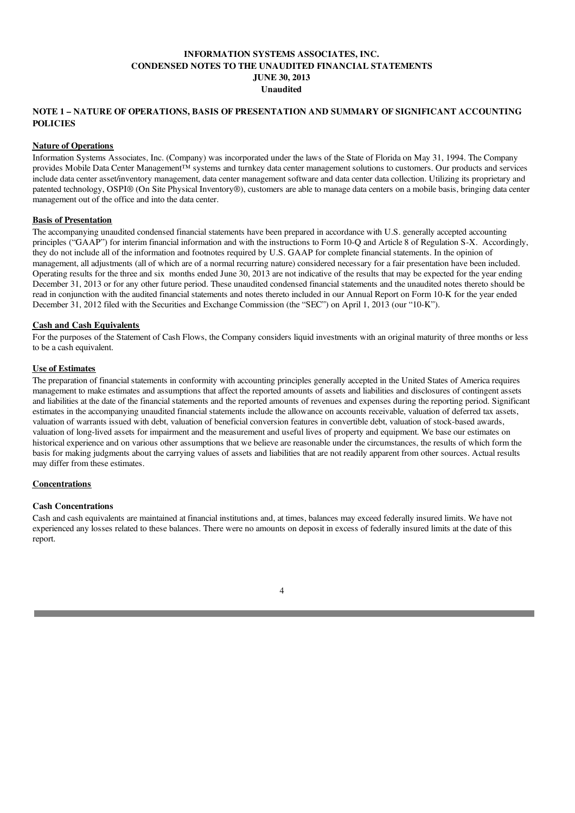## NOTE 1 – NATURE OF OPERATIONS, BASIS OF PRESENTATION AND SUMMARY OF SIGNIFICANT ACCOUNTING POLICIES

#### Nature of Operations

Information Systems Associates, Inc. (Company) was incorporated under the laws of the State of Florida on May 31, 1994. The Company provides Mobile Data Center Management™ systems and turnkey data center management solutions to customers. Our products and services include data center asset/inventory management, data center management software and data center data collection. Utilizing its proprietary and patented technology, OSPI® (On Site Physical Inventory®), customers are able to manage data centers on a mobile basis, bringing data center management out of the office and into the data center.

### Basis of Presentation

The accompanying unaudited condensed financial statements have been prepared in accordance with U.S. generally accepted accounting principles ("GAAP") for interim financial information and with the instructions to Form 10-Q and Article 8 of Regulation S-X. Accordingly, they do not include all of the information and footnotes required by U.S. GAAP for complete financial statements. In the opinion of management, all adjustments (all of which are of a normal recurring nature) considered necessary for a fair presentation have been included. Operating results for the three and six months ended June 30, 2013 are not indicative of the results that may be expected for the year ending December 31, 2013 or for any other future period. These unaudited condensed financial statements and the unaudited notes thereto should be read in conjunction with the audited financial statements and notes thereto included in our Annual Report on Form 10-K for the year ended December 31, 2012 filed with the Securities and Exchange Commission (the "SEC") on April 1, 2013 (our "10-K").

#### Cash and Cash Equivalents

For the purposes of the Statement of Cash Flows, the Company considers liquid investments with an original maturity of three months or less to be a cash equivalent.

#### Use of Estimates

The preparation of financial statements in conformity with accounting principles generally accepted in the United States of America requires management to make estimates and assumptions that affect the reported amounts of assets and liabilities and disclosures of contingent assets and liabilities at the date of the financial statements and the reported amounts of revenues and expenses during the reporting period. Significant estimates in the accompanying unaudited financial statements include the allowance on accounts receivable, valuation of deferred tax assets, valuation of warrants issued with debt, valuation of beneficial conversion features in convertible debt, valuation of stock-based awards, valuation of long-lived assets for impairment and the measurement and useful lives of property and equipment. We base our estimates on historical experience and on various other assumptions that we believe are reasonable under the circumstances, the results of which form the basis for making judgments about the carrying values of assets and liabilities that are not readily apparent from other sources. Actual results may differ from these estimates.

#### **Concentrations**

#### Cash Concentrations

Cash and cash equivalents are maintained at financial institutions and, at times, balances may exceed federally insured limits. We have not experienced any losses related to these balances. There were no amounts on deposit in excess of federally insured limits at the date of this report.

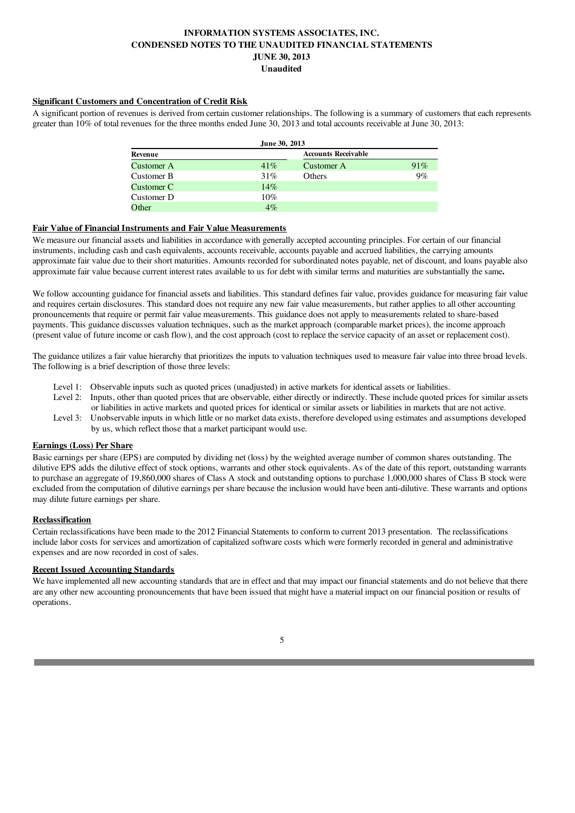## Significant Customers and Concentration of Credit Risk

A significant portion of revenues is derived from certain customer relationships. The following is a summary of customers that each represents greater than 10% of total revenues for the three months ended June 30, 2013 and total accounts receivable at June 30, 2013:

| June 30, 2013 |       |                            |     |  |  |  |  |  |
|---------------|-------|----------------------------|-----|--|--|--|--|--|
| Revenue       |       | <b>Accounts Receivable</b> |     |  |  |  |  |  |
| Customer A    | 41%   | Customer A                 | 91% |  |  |  |  |  |
| Customer B    | 31%   | <b>Others</b>              | 9%  |  |  |  |  |  |
| Customer C    | 14%   |                            |     |  |  |  |  |  |
| Customer D    | 10%   |                            |     |  |  |  |  |  |
| Other         | $4\%$ |                            |     |  |  |  |  |  |

## Fair Value of Financial Instruments and Fair Value Measurements

We measure our financial assets and liabilities in accordance with generally accepted accounting principles. For certain of our financial instruments, including cash and cash equivalents, accounts receivable, accounts payable and accrued liabilities, the carrying amounts approximate fair value due to their short maturities. Amounts recorded for subordinated notes payable, net of discount, and loans payable also approximate fair value because current interest rates available to us for debt with similar terms and maturities are substantially the same.

We follow accounting guidance for financial assets and liabilities. This standard defines fair value, provides guidance for measuring fair value and requires certain disclosures. This standard does not require any new fair value measurements, but rather applies to all other accounting pronouncements that require or permit fair value measurements. This guidance does not apply to measurements related to share-based payments. This guidance discusses valuation techniques, such as the market approach (comparable market prices), the income approach (present value of future income or cash flow), and the cost approach (cost to replace the service capacity of an asset or replacement cost).

The guidance utilizes a fair value hierarchy that prioritizes the inputs to valuation techniques used to measure fair value into three broad levels. The following is a brief description of those three levels:

- Level 1: Observable inputs such as quoted prices (unadjusted) in active markets for identical assets or liabilities.
- Level 2: Inputs, other than quoted prices that are observable, either directly or indirectly. These include quoted prices for similar assets or liabilities in active markets and quoted prices for identical or similar assets or liabilities in markets that are not active.
- Level  $3:$ Unobservable inputs in which little or no market data exists, therefore developed using estimates and assumptions developed by us, which reflect those that a market participant would use.

#### Earnings (Loss) Per Share

Basic earnings per share (EPS) are computed by dividing net (loss) by the weighted average number of common shares outstanding. The dilutive EPS adds the dilutive effect of stock options, warrants and other stock equivalents. As of the date of this report, outstanding warrants to purchase an aggregate of 19,860,000 shares of Class A stock and outstanding options to purchase 1,000,000 shares of Class B stock were excluded from the computation of dilutive earnings per share because the inclusion would have been anti-dilutive. These warrants and options may dilute future earnings per share.

#### Reclassification

Certain reclassifications have been made to the 2012 Financial Statements to conform to current 2013 presentation. The reclassifications include labor costs for services and amortization of capitalized software costs which were formerly recorded in general and administrative expenses and are now recorded in cost of sales.

#### Recent Issued Accounting Standards

We have implemented all new accounting standards that are in effect and that may impact our financial statements and do not believe that there are any other new accounting pronouncements that have been issued that might have a material impact on our financial position or results of operations.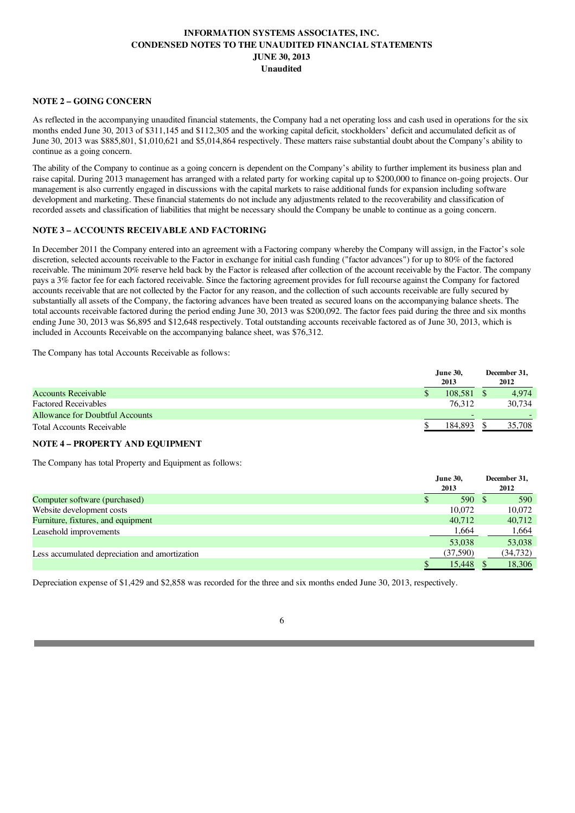## NOTE 2 – GOING CONCERN

As reflected in the accompanying unaudited financial statements, the Company had a net operating loss and cash used in operations for the six months ended June 30, 2013 of \$311,145 and \$112,305 and the working capital deficit, stockholders' deficit and accumulated deficit as of June 30, 2013 was \$885,801, \$1,010,621 and \$5,014,864 respectively. These matters raise substantial doubt about the Company's ability to continue as a going concern.

The ability of the Company to continue as a going concern is dependent on the Company's ability to further implement its business plan and raise capital. During 2013 management has arranged with a related party for working capital up to \$200,000 to finance on-going projects. Our management is also currently engaged in discussions with the capital markets to raise additional funds for expansion including software development and marketing. These financial statements do not include any adjustments related to the recoverability and classification of recorded assets and classification of liabilities that might be necessary should the Company be unable to continue as a going concern.

## NOTE 3 – ACCOUNTS RECEIVABLE AND FACTORING

In December 2011 the Company entered into an agreement with a Factoring company whereby the Company will assign, in the Factor's sole discretion, selected accounts receivable to the Factor in exchange for initial cash funding ("factor advances") for up to 80% of the factored receivable. The minimum 20% reserve held back by the Factor is released after collection of the account receivable by the Factor. The company pays a 3% factor fee for each factored receivable. Since the factoring agreement provides for full recourse against the Company for factored accounts receivable that are not collected by the Factor for any reason, and the collection of such accounts receivable are fully secured by substantially all assets of the Company, the factoring advances have been treated as secured loans on the accompanying balance sheets. The total accounts receivable factored during the period ending June 30, 2013 was \$200,092. The factor fees paid during the three and six months ending June 30, 2013 was \$6,895 and \$12,648 respectively. Total outstanding accounts receivable factored as of June 30, 2013, which is included in Accounts Receivable on the accompanying balance sheet, was \$76,312.

The Company has total Accounts Receivable as follows:

|                                  | June 30, | December 31, |
|----------------------------------|----------|--------------|
|                                  | 2013     | 2012         |
| <b>Accounts Receivable</b>       | 108.581  | 4.974        |
| <b>Factored Receivables</b>      | 76.312   | 30.734       |
| Allowance for Doubtful Accounts  |          |              |
| <b>Total Accounts Receivable</b> | 184.893  | 35,708       |

#### NOTE 4 – PROPERTY AND EQUIPMENT

The Company has total Property and Equipment as follows:

|                                                |   | June 30,<br>2013 | December 31,<br>2012 |
|------------------------------------------------|---|------------------|----------------------|
| Computer software (purchased)                  | S | <b>590</b>       | 590                  |
| Website development costs                      |   | 10.072           | 10,072               |
| Furniture, fixtures, and equipment             |   | 40,712           | 40,712               |
| Leasehold improvements                         |   | 1,664            | 1,664                |
|                                                |   | 53,038           | 53,038               |
| Less accumulated depreciation and amortization |   | (37,590)         | (34, 732)            |
|                                                |   | 15,448           | 18,306               |

Depreciation expense of \$1,429 and \$2,858 was recorded for the three and six months ended June 30, 2013, respectively.

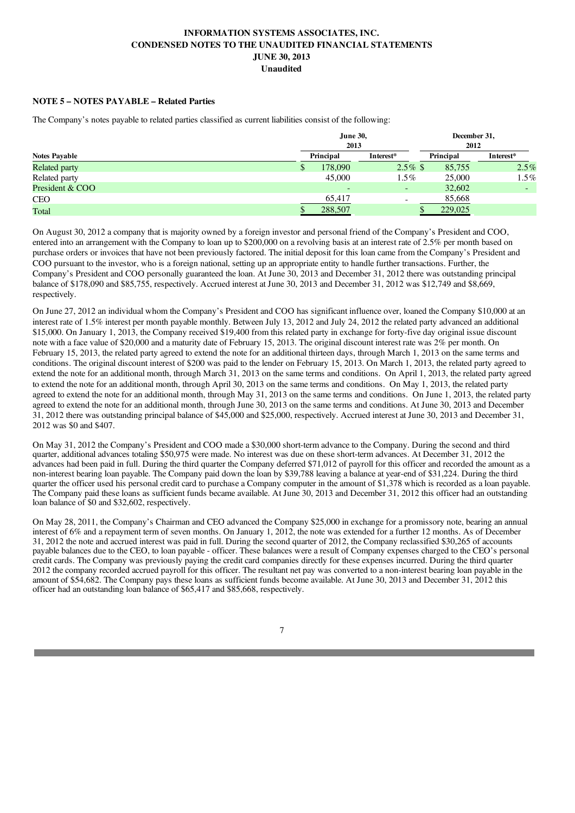## NOTE 5 – NOTES PAYABLE – Related Parties

The Company's notes payable to related parties classified as current liabilities consist of the following:

|                      |           | <b>June 30,</b><br>2013  |           |           |  |  |
|----------------------|-----------|--------------------------|-----------|-----------|--|--|
| <b>Notes Payable</b> | Principal | Interest*                | Principal | Interest* |  |  |
| <b>Related party</b> | 178,090   | $2.5\%$ \$               | 85,755    | 2.5%      |  |  |
| Related party        | 45,000    | $1.5\%$                  | 25,000    | $1.5\%$   |  |  |
| President & COO      |           | ٠                        | 32,602    |           |  |  |
| <b>CEO</b>           | 65,417    | $\overline{\phantom{a}}$ | 85,668    |           |  |  |
| Total                | 288,507   |                          | 229,025   |           |  |  |

On August 30, 2012 a company that is majority owned by a foreign investor and personal friend of the Company's President and COO, entered into an arrangement with the Company to loan up to \$200,000 on a revolving basis at an interest rate of 2.5% per month based on purchase orders or invoices that have not been previously factored. The initial deposit for this loan came from the Company's President and COO pursuant to the investor, who is a foreign national, setting up an appropriate entity to handle further transactions. Further, the Company's President and COO personally guaranteed the loan. At June 30, 2013 and December 31, 2012 there was outstanding principal balance of \$178,090 and \$85,755, respectively. Accrued interest at June 30, 2013 and December 31, 2012 was \$12,749 and \$8,669, respectively.

On June 27, 2012 an individual whom the Company's President and COO has significant influence over, loaned the Company \$10,000 at an interest rate of 1.5% interest per month payable monthly. Between July 13, 2012 and July 24, 2012 the related party advanced an additional \$15,000. On January 1, 2013, the Company received \$19,400 from this related party in exchange for forty-five day original issue discount note with a face value of \$20,000 and a maturity date of February 15, 2013. The original discount interest rate was 2% per month. On February 15, 2013, the related party agreed to extend the note for an additional thirteen days, through March 1, 2013 on the same terms and conditions. The original discount interest of \$200 was paid to the lender on February 15, 2013. On March 1, 2013, the related party agreed to extend the note for an additional month, through March 31, 2013 on the same terms and conditions. On April 1, 2013, the related party agreed to extend the note for an additional month, through April 30, 2013 on the same terms and conditions. On May 1, 2013, the related party agreed to extend the note for an additional month, through May 31, 2013 on the same terms and conditions. On June 1, 2013, the related party agreed to extend the note for an additional month, through June 30, 2013 on the same terms and conditions. At June 30, 2013 and December 31, 2012 there was outstanding principal balance of \$45,000 and \$25,000, respectively. Accrued interest at June 30, 2013 and December 31, 2012 was \$0 and \$407.

On May 31, 2012 the Company's President and COO made a \$30,000 short-term advance to the Company. During the second and third quarter, additional advances totaling \$50,975 were made. No interest was due on these short-term advances. At December 31, 2012 the advances had been paid in full. During the third quarter the Company deferred \$71,012 of payroll for this officer and recorded the amount as a non-interest bearing loan payable. The Company paid down the loan by \$39,788 leaving a balance at year-end of \$31,224. During the third quarter the officer used his personal credit card to purchase a Company computer in the amount of \$1,378 which is recorded as a loan payable. The Company paid these loans as sufficient funds became available. At June 30, 2013 and December 31, 2012 this officer had an outstanding loan balance of \$0 and \$32,602, respectively.

On May 28, 2011, the Company's Chairman and CEO advanced the Company \$25,000 in exchange for a promissory note, bearing an annual interest of 6% and a repayment term of seven months. On January 1, 2012, the note was extended for a further 12 months. As of December 31, 2012 the note and accrued interest was paid in full. During the second quarter of 2012, the Company reclassified \$30,265 of accounts payable balances due to the CEO, to loan payable - officer. These balances were a result of Company expenses charged to the CEO's personal credit cards. The Company was previously paying the credit card companies directly for these expenses incurred. During the third quarter 2012 the company recorded accrued payroll for this officer. The resultant net pay was converted to a non-interest bearing loan payable in the amount of \$54,682. The Company pays these loans as sufficient funds become available. At June 30, 2013 and December 31, 2012 this officer had an outstanding loan balance of \$65,417 and \$85,668, respectively.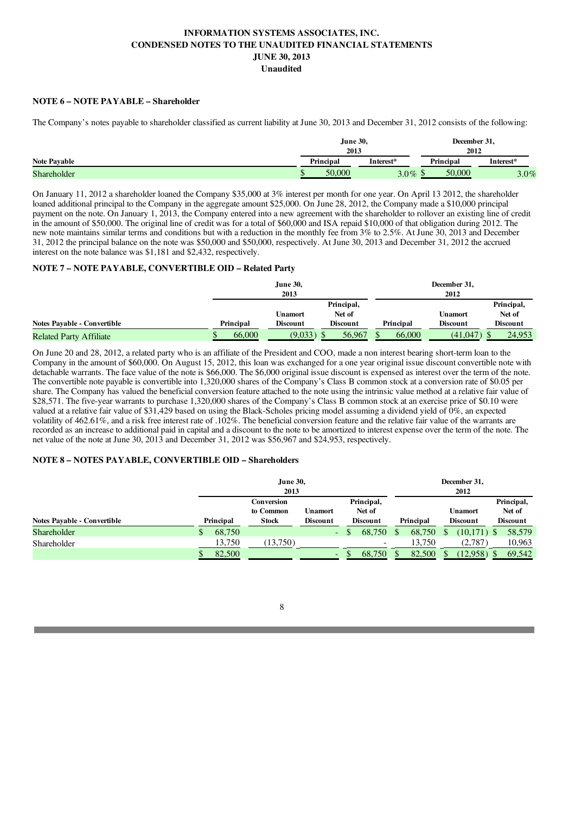### NOTE 6 – NOTE PAYABLE – Shareholder

The Company's notes payable to shareholder classified as current liability at June 30, 2013 and December 31, 2012 consists of the following:

|                     |  | June 30,  |           | December 31, |           |           |  |  |
|---------------------|--|-----------|-----------|--------------|-----------|-----------|--|--|
|                     |  | 2013      |           |              | 2012      |           |  |  |
| <b>Note Payable</b> |  | Principal | Interest* |              | Principal | Interest* |  |  |
| Shareholder         |  | 50.000    | $3.0\%~$  |              | 50,000    | $3.0\%$   |  |  |

On January 11, 2012 a shareholder loaned the Company \$35,000 at 3% interest per month for one year. On April 13 2012, the shareholder loaned additional principal to the Company in the aggregate amount \$25,000. On June 28, 2012, the Company made a \$10,000 principal payment on the note. On January 1, 2013, the Company entered into a new agreement with the shareholder to rollover an existing line of credit in the amount of \$50,000. The original line of credit was for a total of \$60,000 and ISA repaid \$10,000 of that obligation during 2012. The new note maintains similar terms and conditions but with a reduction in the monthly fee from 3% to 2.5%. At June 30, 2013 and December 31, 2012 the principal balance on the note was \$50,000 and \$50,000, respectively. At June 30, 2013 and December 31, 2012 the accrued interest on the note balance was \$1,181 and \$2,432, respectively.

## NOTE 7 – NOTE PAYABLE, CONVERTIBLE OID – Related Party

|                                    |           | June 30,<br>2013 |                 |           | December 31,<br>2012 |                 |  |
|------------------------------------|-----------|------------------|-----------------|-----------|----------------------|-----------------|--|
|                                    |           |                  | Principal,      |           |                      | Principal,      |  |
|                                    |           | Unamort          | Net of          |           | Unamort              | Net of          |  |
| <b>Notes Payable - Convertible</b> | Principal | <b>Discount</b>  | <b>Discount</b> | Principal | <b>Discount</b>      | <b>Discount</b> |  |
| <b>Related Party Affiliate</b>     | 66,000    | (9,033)          | 56,967          | 66,000    | (41,047)             | 24.953          |  |

On June 20 and 28, 2012, a related party who is an affiliate of the President and COO, made a non interest bearing short-term loan to the Company in the amount of \$60,000. On August 15, 2012, this loan was exchanged for a one year original issue discount convertible note with detachable warrants. The face value of the note is \$66,000. The \$6,000 original issue discount is expensed as interest over the term of the note. The convertible note payable is convertible into 1,320,000 shares of the Company's Class B common stock at a conversion rate of \$0.05 per share. The Company has valued the beneficial conversion feature attached to the note using the intrinsic value method at a relative fair value of \$28,571. The five-year warrants to purchase 1,320,000 shares of the Company's Class B common stock at an exercise price of \$0.10 were valued at a relative fair value of \$31,429 based on using the Black-Scholes pricing model assuming a dividend yield of  $0\%$ , an expected volatility of 462.61%, and a risk free interest rate of .102%. The beneficial conversion feature and the relative fair value of the warrants are recorded as an increase to additional paid in capital and a discount to the note to be amortized to interest expense over the term of the note. The net value of the note at June 30, 2013 and December 31, 2012 was \$56,967 and \$24,953, respectively.

#### NOTE 8 – NOTES PAYABLE, CONVERTIBLE OID – Shareholders

|                                    |   | June 30,<br>2013 |                                         |                                   |  |                                         | December 31,<br>2012 |           |  |                                   |  |                                         |
|------------------------------------|---|------------------|-----------------------------------------|-----------------------------------|--|-----------------------------------------|----------------------|-----------|--|-----------------------------------|--|-----------------------------------------|
| <b>Notes Payable - Convertible</b> |   | Principal        | Conversion<br>to Common<br><b>Stock</b> | <b>Unamort</b><br><b>Discount</b> |  | Principal,<br>Net of<br><b>Discount</b> |                      | Principal |  | <b>Unamort</b><br><b>Discount</b> |  | Principal,<br>Net of<br><b>Discount</b> |
| Shareholder                        | S | 68,750           |                                         | ٠                                 |  | 68.750                                  |                      | 68.750    |  | $(10.171)$ \$                     |  | 58,579                                  |
| Shareholder                        |   | 13,750           | (13,750)                                |                                   |  |                                         |                      | 13,750    |  | (2,787)                           |  | 10,963                                  |
|                                    |   | 82,500           |                                         | $\overline{\phantom{0}}$          |  | 68.750                                  |                      | 82,500    |  | (12.958)                          |  | 69,542                                  |

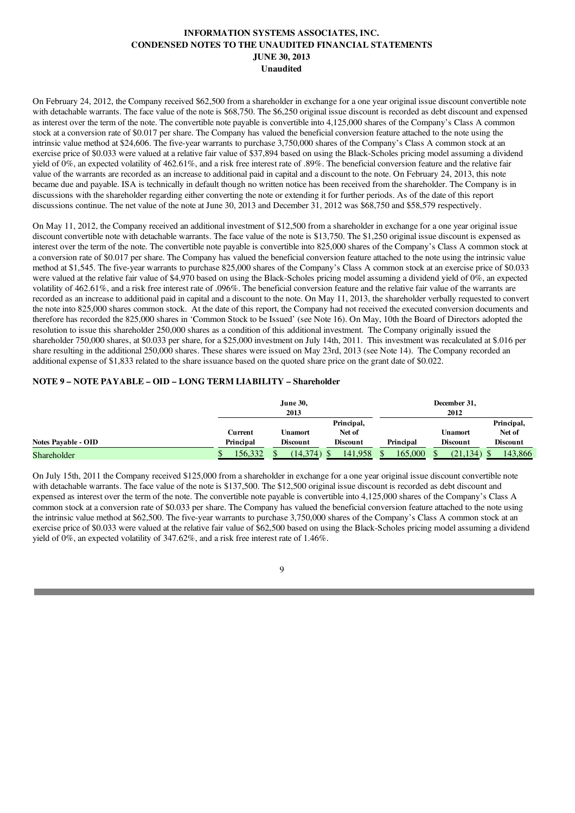On February 24, 2012, the Company received \$62,500 from a shareholder in exchange for a one year original issue discount convertible note with detachable warrants. The face value of the note is \$68,750. The \$6,250 original issue discount is recorded as debt discount and expensed as interest over the term of the note. The convertible note payable is convertible into 4,125,000 shares of the Company's Class A common stock at a conversion rate of \$0.017 per share. The Company has valued the beneficial conversion feature attached to the note using the intrinsic value method at \$24,606. The five-year warrants to purchase 3,750,000 shares of the Company's Class A common stock at an exercise price of \$0.033 were valued at a relative fair value of \$37,894 based on using the Black-Scholes pricing model assuming a dividend yield of 0%, an expected volatility of 462.61%, and a risk free interest rate of .89%. The beneficial conversion feature and the relative fair value of the warrants are recorded as an increase to additional paid in capital and a discount to the note. On February 24, 2013, this note became due and payable. ISA is technically in default though no written notice has been received from the shareholder. The Company is in discussions with the shareholder regarding either converting the note or extending it for further periods. As of the date of this report discussions continue. The net value of the note at June 30, 2013 and December 31, 2012 was \$68,750 and \$58,579 respectively.

On May 11, 2012, the Company received an additional investment of \$12,500 from a shareholder in exchange for a one year original issue discount convertible note with detachable warrants. The face value of the note is \$13,750. The \$1,250 original issue discount is expensed as interest over the term of the note. The convertible note payable is convertible into 825,000 shares of the Company's Class A common stock at a conversion rate of \$0.017 per share. The Company has valued the beneficial conversion feature attached to the note using the intrinsic value method at \$1,545. The five-year warrants to purchase 825,000 shares of the Company's Class A common stock at an exercise price of \$0.033 were valued at the relative fair value of \$4,970 based on using the Black-Scholes pricing model assuming a dividend yield of 0%, an expected volatility of 462.61%, and a risk free interest rate of .096%. The beneficial conversion feature and the relative fair value of the warrants are recorded as an increase to additional paid in capital and a discount to the note. On May 11, 2013, the shareholder verbally requested to convert the note into 825,000 shares common stock. At the date of this report, the Company had not received the executed conversion documents and therefore has recorded the 825,000 shares in 'Common Stock to be Issued' (see Note 16). On May, 10th the Board of Directors adopted the resolution to issue this shareholder 250,000 shares as a condition of this additional investment. The Company originally issued the shareholder 750,000 shares, at \$0.033 per share, for a \$25,000 investment on July 14th, 2011. This investment was recalculated at \$.016 per share resulting in the additional 250,000 shares. These shares were issued on May 23rd, 2013 (see Note 14). The Company recorded an additional expense of \$1,833 related to the share issuance based on the quoted share price on the grant date of \$0.022.

## NOTE 9 – NOTE PAYABLE – OID – LONG TERM LIABILITY – Shareholder

|                            |           | June 30,        |                 |           | December 31,    |                 |  |
|----------------------------|-----------|-----------------|-----------------|-----------|-----------------|-----------------|--|
|                            |           | 2013            |                 |           | 2012            |                 |  |
|                            |           |                 | Principal,      |           |                 | Principal,      |  |
|                            | Current   | <b>Unamort</b>  | Net of          |           | Unamort         | Net of          |  |
| <b>Notes Pavable - OID</b> | Principal | <b>Discount</b> | <b>Discount</b> | Principal | <b>Discount</b> | <b>Discount</b> |  |
| Shareholder                | 156,332   | (14, 374)       | 141,958         | 165,000   | (21, 134)       | 143,866         |  |

On July 15th, 2011 the Company received \$125,000 from a shareholder in exchange for a one year original issue discount convertible note with detachable warrants. The face value of the note is \$137,500. The \$12,500 original issue discount is recorded as debt discount and expensed as interest over the term of the note. The convertible note payable is convertible into 4,125,000 shares of the Company's Class A common stock at a conversion rate of \$0.033 per share. The Company has valued the beneficial conversion feature attached to the note using the intrinsic value method at \$62,500. The five-year warrants to purchase 3,750,000 shares of the Company's Class A common stock at an exercise price of \$0.033 were valued at the relative fair value of \$62,500 based on using the Black-Scholes pricing model assuming a dividend yield of 0%, an expected volatility of 347.62%, and a risk free interest rate of 1.46%.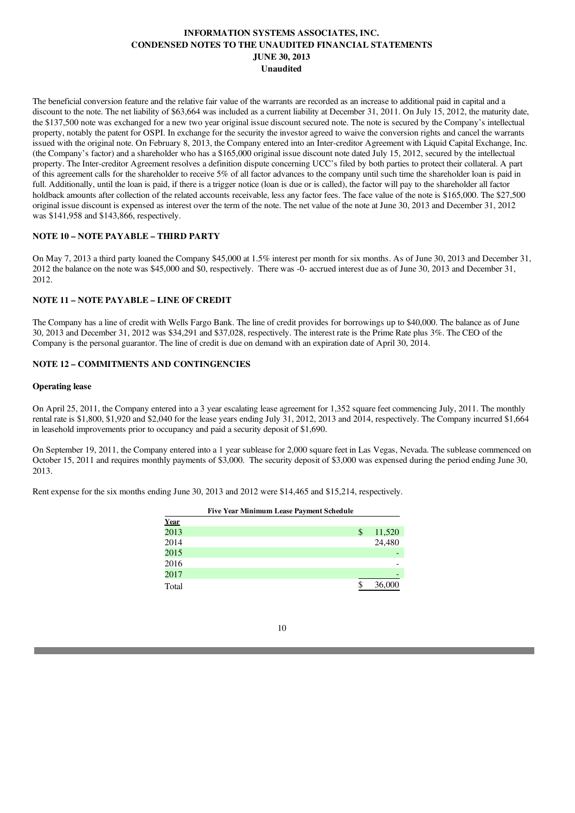The beneficial conversion feature and the relative fair value of the warrants are recorded as an increase to additional paid in capital and a discount to the note. The net liability of \$63,664 was included as a current liability at December 31, 2011. On July 15, 2012, the maturity date, the \$137,500 note was exchanged for a new two year original issue discount secured note. The note is secured by the Company's intellectual property, notably the patent for OSPI. In exchange for the security the investor agreed to waive the conversion rights and cancel the warrants issued with the original note. On February 8, 2013, the Company entered into an Inter-creditor Agreement with Liquid Capital Exchange, Inc. (the Company's factor) and a shareholder who has a \$165,000 original issue discount note dated July 15, 2012, secured by the intellectual property. The Inter-creditor Agreement resolves a definition dispute concerning UCC's filed by both parties to protect their collateral. A part of this agreement calls for the shareholder to receive 5% of all factor advances to the company until such time the shareholder loan is paid in full. Additionally, until the loan is paid, if there is a trigger notice (loan is due or is called), the factor will pay to the shareholder all factor holdback amounts after collection of the related accounts receivable, less any factor fees. The face value of the note is \$165,000. The \$27,500 original issue discount is expensed as interest over the term of the note. The net value of the note at June 30, 2013 and December 31, 2012 was \$141,958 and \$143,866, respectively.

## NOTE 10 – NOTE PAYABLE – THIRD PARTY

On May 7, 2013 a third party loaned the Company \$45,000 at 1.5% interest per month for six months. As of June 30, 2013 and December 31, 2012 the balance on the note was \$45,000 and \$0, respectively. There was -0- accrued interest due as of June 30, 2013 and December 31, 2012.

## NOTE 11 – NOTE PAYABLE – LINE OF CREDIT

The Company has a line of credit with Wells Fargo Bank. The line of credit provides for borrowings up to \$40,000. The balance as of June 30, 2013 and December 31, 2012 was \$34,291 and \$37,028, respectively. The interest rate is the Prime Rate plus 3%. The CEO of the Company is the personal guarantor. The line of credit is due on demand with an expiration date of April 30, 2014.

## NOTE 12 – COMMITMENTS AND CONTINGENCIES

#### Operating lease

On April 25, 2011, the Company entered into a 3 year escalating lease agreement for 1,352 square feet commencing July, 2011. The monthly rental rate is \$1,800, \$1,920 and \$2,040 for the lease years ending July 31, 2012, 2013 and 2014, respectively. The Company incurred \$1,664 in leasehold improvements prior to occupancy and paid a security deposit of \$1,690.

On September 19, 2011, the Company entered into a 1 year sublease for 2,000 square feet in Las Vegas, Nevada. The sublease commenced on October 15, 2011 and requires monthly payments of \$3,000. The security deposit of \$3,000 was expensed during the period ending June 30, 2013.

Rent expense for the six months ending June 30, 2013 and 2012 were \$14,465 and \$15,214, respectively.

| <b>Five Year Minimum Lease Payment Schedule</b> |  |    |        |  |  |
|-------------------------------------------------|--|----|--------|--|--|
| Year                                            |  |    |        |  |  |
| 2013                                            |  | \$ | 11,520 |  |  |
| 2014                                            |  |    | 24,480 |  |  |
| 2015                                            |  |    |        |  |  |
| 2016                                            |  |    |        |  |  |
| 2017                                            |  |    |        |  |  |
| Total                                           |  |    | 36,000 |  |  |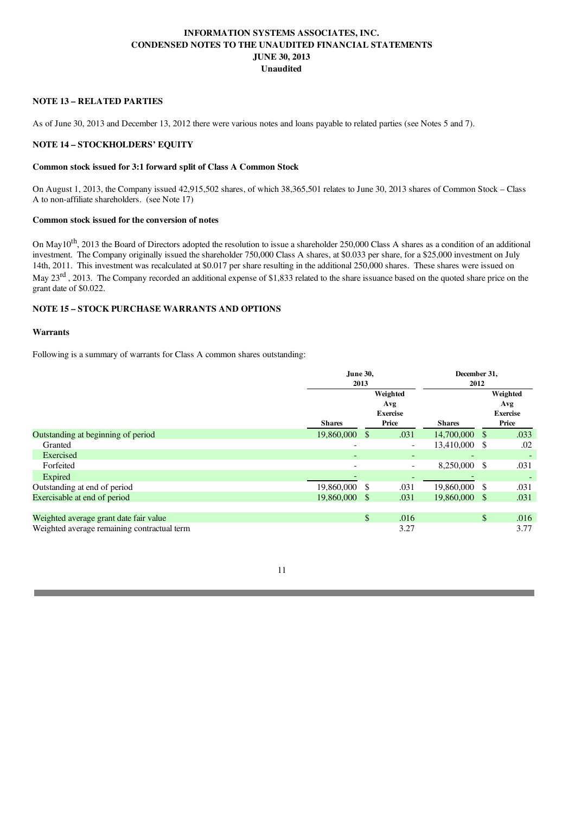## NOTE 13 – RELATED PARTIES

As of June 30, 2013 and December 13, 2012 there were various notes and loans payable to related parties (see Notes 5 and 7).

### NOTE 14 – STOCKHOLDERS' EQUITY

### Common stock issued for 3:1 forward split of Class A Common Stock

On August 1, 2013, the Company issued 42,915,502 shares, of which 38,365,501 relates to June 30, 2013 shares of Common Stock – Class A to non-affiliate shareholders. (see Note 17)

## Common stock issued for the conversion of notes

On May10<sup>th</sup>, 2013 the Board of Directors adopted the resolution to issue a shareholder 250,000 Class A shares as a condition of an additional investment. The Company originally issued the shareholder 750,000 Class A shares, at \$0.033 per share, for a \$25,000 investment on July 14th, 2011. This investment was recalculated at \$0.017 per share resulting in the additional 250,000 shares. These shares were issued on May 23<sup>rd</sup>, 2013. The Company recorded an additional expense of \$1,833 related to the share issuance based on the quoted share price on the grant date of \$0.022.

#### NOTE 15 – STOCK PURCHASE WARRANTS AND OPTIONS

#### Warrants

Following is a summary of warrants for Class A common shares outstanding:

|                                             |               | June 30,<br>2013 |                                             | December 31,<br>2012 |               |                                             |  |
|---------------------------------------------|---------------|------------------|---------------------------------------------|----------------------|---------------|---------------------------------------------|--|
|                                             | <b>Shares</b> |                  | Weighted<br>Avg<br><b>Exercise</b><br>Price | <b>Shares</b>        |               | Weighted<br>Avg<br><b>Exercise</b><br>Price |  |
| Outstanding at beginning of period          | 19,860,000 \$ |                  | .031                                        | 14,700,000           | <sup>\$</sup> | .033                                        |  |
| Granted                                     |               |                  | $\overline{\phantom{a}}$                    | 13,410,000           | -S            | .02                                         |  |
| Exercised                                   |               |                  | $\overline{\phantom{0}}$                    |                      |               |                                             |  |
| Forfeited                                   |               |                  |                                             | 8,250,000            | <sup>\$</sup> | .031                                        |  |
| Expired                                     |               |                  |                                             |                      |               |                                             |  |
| Outstanding at end of period                | 19,860,000 \$ |                  | .031                                        | 19,860,000           | -S            | .031                                        |  |
| Exercisable at end of period                | 19,860,000 \$ |                  | .031                                        | 19,860,000           | -S            | .031                                        |  |
|                                             |               |                  |                                             |                      |               |                                             |  |
| Weighted average grant date fair value      |               | $\mathbb{S}$     | .016                                        |                      | \$            | .016                                        |  |
| Weighted average remaining contractual term |               |                  | 3.27                                        |                      |               | 3.77                                        |  |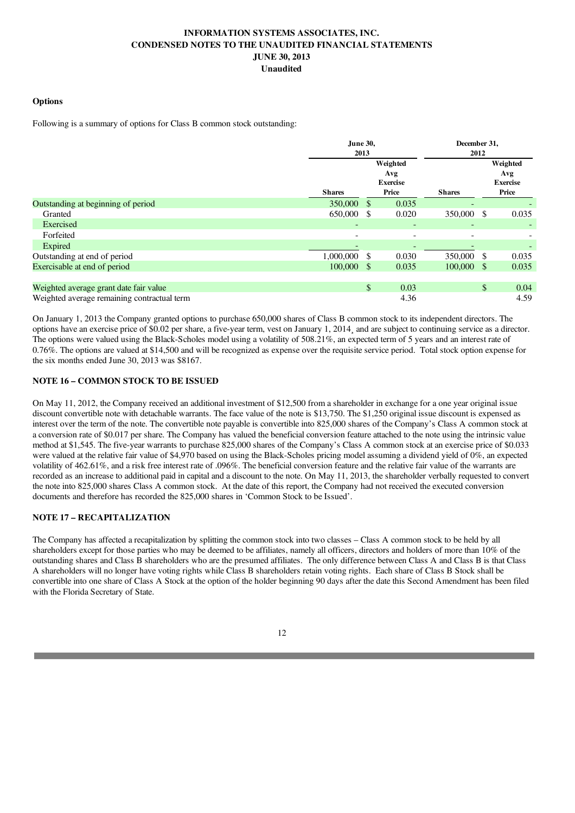#### **Options**

Following is a summary of options for Class B common stock outstanding:

|                                             |                          | June 30,<br>2013 |                                             | December 31,<br>2012     |      |                                             |  |
|---------------------------------------------|--------------------------|------------------|---------------------------------------------|--------------------------|------|---------------------------------------------|--|
|                                             | <b>Shares</b>            |                  | Weighted<br>Avg<br><b>Exercise</b><br>Price | <b>Shares</b>            |      | Weighted<br>Avg<br><b>Exercise</b><br>Price |  |
| Outstanding at beginning of period          | 350,000 \$               |                  | 0.035                                       | $\overline{\phantom{0}}$ |      |                                             |  |
| Granted                                     | 650,000                  | -S               | 0.020                                       | 350,000                  | -S   | 0.035                                       |  |
| Exercised                                   | $\overline{\phantom{0}}$ |                  | $-$                                         | $\overline{\phantom{a}}$ |      |                                             |  |
| Forfeited                                   |                          |                  |                                             | $\qquad \qquad$          |      |                                             |  |
| Expired                                     |                          |                  |                                             |                          |      |                                             |  |
| Outstanding at end of period                | 1,000,000                | -S               | 0.030                                       | 350,000                  | -S   | 0.035                                       |  |
| Exercisable at end of period                | $100,000$ \$             |                  | 0.035                                       | 100,000                  | - \$ | 0.035                                       |  |
|                                             |                          |                  |                                             |                          |      |                                             |  |
| Weighted average grant date fair value      |                          | \$               | 0.03                                        |                          | \$   | 0.04                                        |  |
| Weighted average remaining contractual term |                          |                  | 4.36                                        |                          |      | 4.59                                        |  |

On January 1, 2013 the Company granted options to purchase 650,000 shares of Class B common stock to its independent directors. The options have an exercise price of \$0.02 per share, a five-year term, vest on January 1, 2014¸ and are subject to continuing service as a director. The options were valued using the Black-Scholes model using a volatility of 508.21%, an expected term of 5 years and an interest rate of 0.76%. The options are valued at \$14,500 and will be recognized as expense over the requisite service period. Total stock option expense for the six months ended June 30, 2013 was \$8167.

## NOTE 16 – COMMON STOCK TO BE ISSUED

On May 11, 2012, the Company received an additional investment of \$12,500 from a shareholder in exchange for a one year original issue discount convertible note with detachable warrants. The face value of the note is \$13,750. The \$1,250 original issue discount is expensed as interest over the term of the note. The convertible note payable is convertible into 825,000 shares of the Company's Class A common stock at a conversion rate of \$0.017 per share. The Company has valued the beneficial conversion feature attached to the note using the intrinsic value method at \$1,545. The five-year warrants to purchase 825,000 shares of the Company's Class A common stock at an exercise price of \$0.033 were valued at the relative fair value of \$4,970 based on using the Black-Scholes pricing model assuming a dividend yield of 0%, an expected volatility of 462.61%, and a risk free interest rate of .096%. The beneficial conversion feature and the relative fair value of the warrants are recorded as an increase to additional paid in capital and a discount to the note. On May 11, 2013, the shareholder verbally requested to convert the note into 825,000 shares Class A common stock. At the date of this report, the Company had not received the executed conversion documents and therefore has recorded the 825,000 shares in 'Common Stock to be Issued'.

## NOTE 17 – RECAPITALIZATION

The Company has affected a recapitalization by splitting the common stock into two classes – Class A common stock to be held by all shareholders except for those parties who may be deemed to be affiliates, namely all officers, directors and holders of more than 10% of the outstanding shares and Class B shareholders who are the presumed affiliates. The only difference between Class A and Class B is that Class A shareholders will no longer have voting rights while Class B shareholders retain voting rights. Each share of Class B Stock shall be convertible into one share of Class A Stock at the option of the holder beginning 90 days after the date this Second Amendment has been filed with the Florida Secretary of State.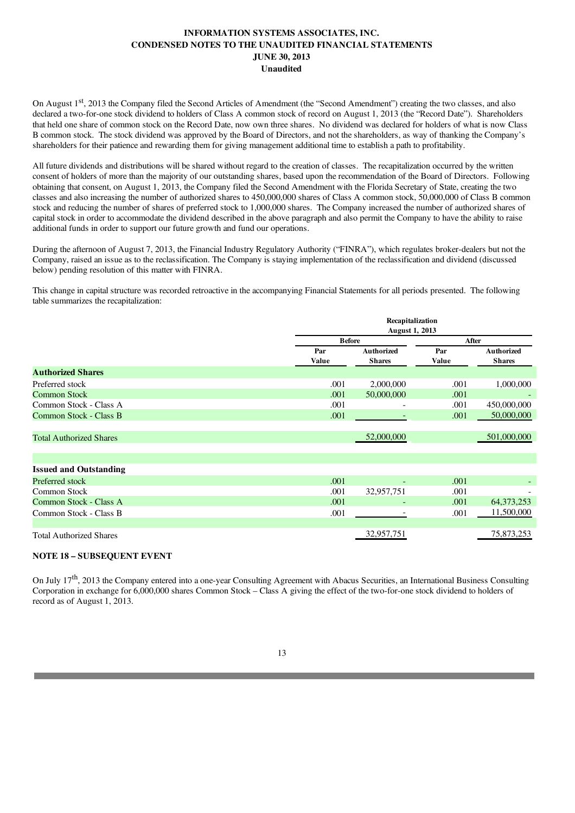On August 1<sup>st</sup>, 2013 the Company filed the Second Articles of Amendment (the "Second Amendment") creating the two classes, and also declared a two-for-one stock dividend to holders of Class A common stock of record on August 1, 2013 (the "Record Date"). Shareholders that held one share of common stock on the Record Date, now own three shares. No dividend was declared for holders of what is now Class B common stock. The stock dividend was approved by the Board of Directors, and not the shareholders, as way of thanking the Company's shareholders for their patience and rewarding them for giving management additional time to establish a path to profitability.

All future dividends and distributions will be shared without regard to the creation of classes. The recapitalization occurred by the written consent of holders of more than the majority of our outstanding shares, based upon the recommendation of the Board of Directors. Following obtaining that consent, on August 1, 2013, the Company filed the Second Amendment with the Florida Secretary of State, creating the two classes and also increasing the number of authorized shares to 450,000,000 shares of Class A common stock, 50,000,000 of Class B common stock and reducing the number of shares of preferred stock to 1,000,000 shares. The Company increased the number of authorized shares of capital stock in order to accommodate the dividend described in the above paragraph and also permit the Company to have the ability to raise additional funds in order to support our future growth and fund our operations.

During the afternoon of August 7, 2013, the Financial Industry Regulatory Authority ("FINRA"), which regulates broker-dealers but not the Company, raised an issue as to the reclassification. The Company is staying implementation of the reclassification and dividend (discussed below) pending resolution of this matter with FINRA.

This change in capital structure was recorded retroactive in the accompanying Financial Statements for all periods presented. The following table summarizes the recapitalization:

|                                | Recapitalization<br><b>August 1, 2013</b> |                   |              |               |  |
|--------------------------------|-------------------------------------------|-------------------|--------------|---------------|--|
|                                | <b>Before</b><br>After                    |                   |              |               |  |
|                                | Par                                       | <b>Authorized</b> | Par          | Authorized    |  |
|                                | Value                                     | <b>Shares</b>     | <b>Value</b> | <b>Shares</b> |  |
| <b>Authorized Shares</b>       |                                           |                   |              |               |  |
| Preferred stock                | .001                                      | 2,000,000         | .001         | 1,000,000     |  |
| <b>Common Stock</b>            | .001                                      | 50,000,000        | .001         |               |  |
| Common Stock - Class A         | .001                                      |                   | .001         | 450,000,000   |  |
| Common Stock - Class B         | .001                                      |                   | .001         | 50,000,000    |  |
| <b>Total Authorized Shares</b> |                                           | 52,000,000        |              | 501,000,000   |  |
| <b>Issued and Outstanding</b>  |                                           |                   |              |               |  |
| Preferred stock                | .001                                      |                   | .001         |               |  |
| Common Stock                   | .001                                      | 32,957,751        | .001         |               |  |
| Common Stock - Class A         | .001                                      |                   | .001         | 64, 373, 253  |  |
| Common Stock - Class B         | .001                                      |                   | .001         | 11,500,000    |  |
| <b>Total Authorized Shares</b> |                                           | 32,957,751        |              | 75,873,253    |  |

### NOTE 18 – SUBSEQUENT EVENT

On July 17<sup>th</sup>, 2013 the Company entered into a one-year Consulting Agreement with Abacus Securities, an International Business Consulting Corporation in exchange for 6,000,000 shares Common Stock – Class A giving the effect of the two-for-one stock dividend to holders of record as of August 1, 2013.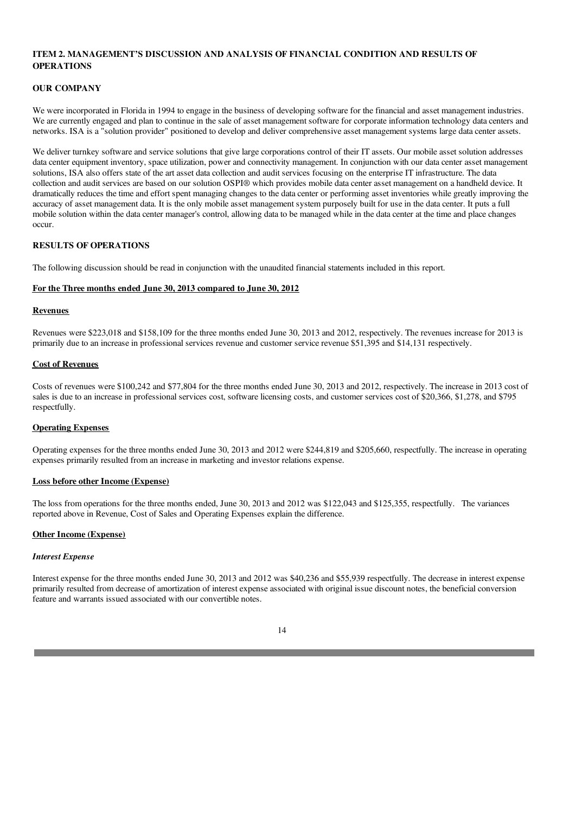## ITEM 2. MANAGEMENT'S DISCUSSION AND ANALYSIS OF FINANCIAL CONDITION AND RESULTS OF **OPERATIONS**

### OUR COMPANY

We were incorporated in Florida in 1994 to engage in the business of developing software for the financial and asset management industries. We are currently engaged and plan to continue in the sale of asset management software for corporate information technology data centers and networks. ISA is a "solution provider" positioned to develop and deliver comprehensive asset management systems large data center assets.

We deliver turnkey software and service solutions that give large corporations control of their IT assets. Our mobile asset solution addresses data center equipment inventory, space utilization, power and connectivity management. In conjunction with our data center asset management solutions, ISA also offers state of the art asset data collection and audit services focusing on the enterprise IT infrastructure. The data collection and audit services are based on our solution OSPI® which provides mobile data center asset management on a handheld device. It dramatically reduces the time and effort spent managing changes to the data center or performing asset inventories while greatly improving the accuracy of asset management data. It is the only mobile asset management system purposely built for use in the data center. It puts a full mobile solution within the data center manager's control, allowing data to be managed while in the data center at the time and place changes occur.

### RESULTS OF OPERATIONS

The following discussion should be read in conjunction with the unaudited financial statements included in this report.

#### For the Three months ended June 30, 2013 compared to June 30, 2012

#### **Revenues**

Revenues were \$223,018 and \$158,109 for the three months ended June 30, 2013 and 2012, respectively. The revenues increase for 2013 is primarily due to an increase in professional services revenue and customer service revenue \$51,395 and \$14,131 respectively.

### Cost of Revenues

Costs of revenues were \$100,242 and \$77,804 for the three months ended June 30, 2013 and 2012, respectively. The increase in 2013 cost of sales is due to an increase in professional services cost, software licensing costs, and customer services cost of \$20,366, \$1,278, and \$795 respectfully.

#### **Operating Expenses**

Operating expenses for the three months ended June 30, 2013 and 2012 were \$244,819 and \$205,660, respectfully. The increase in operating expenses primarily resulted from an increase in marketing and investor relations expense.

#### Loss before other Income (Expense)

The loss from operations for the three months ended, June 30, 2013 and 2012 was \$122,043 and \$125,355, respectfully. The variances reported above in Revenue, Cost of Sales and Operating Expenses explain the difference.

#### Other Income (Expense)

### *Interest Expense*

Interest expense for the three months ended June 30, 2013 and 2012 was \$40,236 and \$55,939 respectfully. The decrease in interest expense primarily resulted from decrease of amortization of interest expense associated with original issue discount notes, the beneficial conversion feature and warrants issued associated with our convertible notes.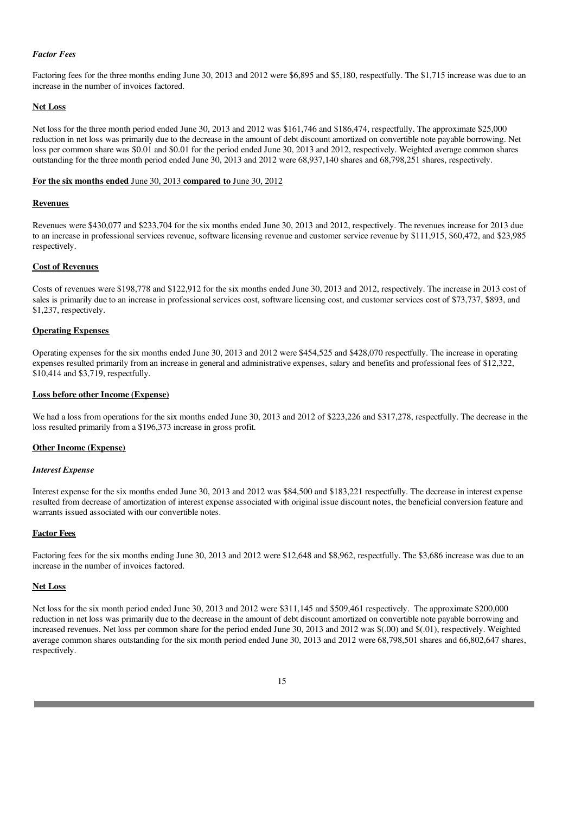#### *Factor Fees*

Factoring fees for the three months ending June 30, 2013 and 2012 were \$6,895 and \$5,180, respectfully. The \$1,715 increase was due to an increase in the number of invoices factored.

#### Net Loss

Net loss for the three month period ended June 30, 2013 and 2012 was \$161,746 and \$186,474, respectfully. The approximate \$25,000 reduction in net loss was primarily due to the decrease in the amount of debt discount amortized on convertible note payable borrowing. Net loss per common share was \$0.01 and \$0.01 for the period ended June 30, 2013 and 2012, respectively. Weighted average common shares outstanding for the three month period ended June 30, 2013 and 2012 were 68,937,140 shares and 68,798,251 shares, respectively.

#### For the six months ended June 30, 2013 compared to June 30, 2012

#### **Revenues**

Revenues were \$430,077 and \$233,704 for the six months ended June 30, 2013 and 2012, respectively. The revenues increase for 2013 due to an increase in professional services revenue, software licensing revenue and customer service revenue by \$111,915, \$60,472, and \$23,985 respectively.

#### Cost of Revenues

Costs of revenues were \$198,778 and \$122,912 for the six months ended June 30, 2013 and 2012, respectively. The increase in 2013 cost of sales is primarily due to an increase in professional services cost, software licensing cost, and customer services cost of \$73,737, \$893, and \$1,237, respectively.

#### Operating Expenses

Operating expenses for the six months ended June 30, 2013 and 2012 were \$454,525 and \$428,070 respectfully. The increase in operating expenses resulted primarily from an increase in general and administrative expenses, salary and benefits and professional fees of \$12,322, \$10,414 and \$3,719, respectfully.

#### Loss before other Income (Expense)

We had a loss from operations for the six months ended June 30, 2013 and 2012 of \$223,226 and \$317,278, respectfully. The decrease in the loss resulted primarily from a \$196,373 increase in gross profit.

### Other Income (Expense)

#### *Interest Expense*

Interest expense for the six months ended June 30, 2013 and 2012 was \$84,500 and \$183,221 respectfully. The decrease in interest expense resulted from decrease of amortization of interest expense associated with original issue discount notes, the beneficial conversion feature and warrants issued associated with our convertible notes.

#### Factor Fees

Factoring fees for the six months ending June 30, 2013 and 2012 were \$12,648 and \$8,962, respectfully. The \$3,686 increase was due to an increase in the number of invoices factored.

#### Net Loss

Net loss for the six month period ended June 30, 2013 and 2012 were \$311,145 and \$509,461 respectively. The approximate \$200,000 reduction in net loss was primarily due to the decrease in the amount of debt discount amortized on convertible note payable borrowing and increased revenues. Net loss per common share for the period ended June 30, 2013 and 2012 was \$(.00) and \$(.01), respectively. Weighted average common shares outstanding for the six month period ended June 30, 2013 and 2012 were 68,798,501 shares and 66,802,647 shares, respectively.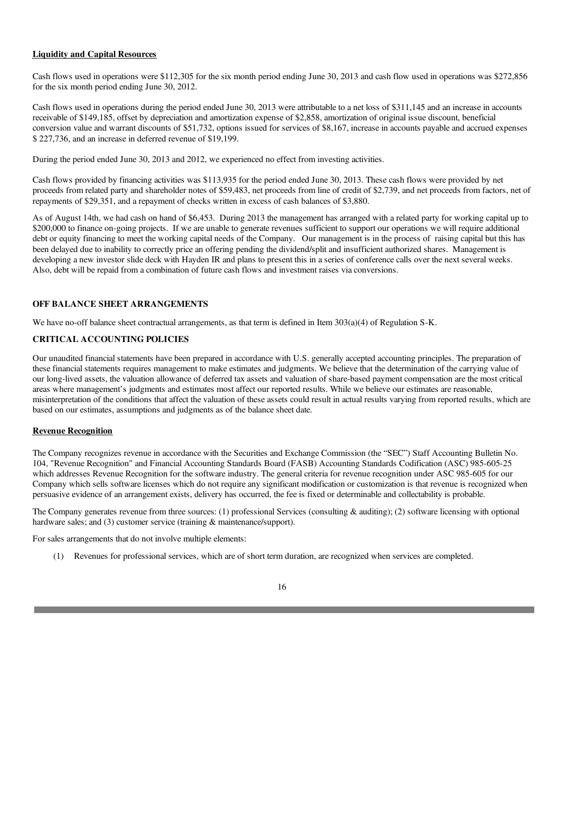## Liquidity and Capital Resources

Cash flows used in operations were \$112,305 for the six month period ending June 30, 2013 and cash flow used in operations was \$272,856 for the six month period ending June 30, 2012.

Cash flows used in operations during the period ended June 30, 2013 were attributable to a net loss of \$311,145 and an increase in accounts receivable of \$149,185, offset by depreciation and amortization expense of \$2,858, amortization of original issue discount, beneficial conversion value and warrant discounts of \$51,732, options issued for services of \$8,167, increase in accounts payable and accrued expenses \$ 227,736, and an increase in deferred revenue of \$19,199.

During the period ended June 30, 2013 and 2012, we experienced no effect from investing activities.

Cash flows provided by financing activities was \$113,935 for the period ended June 30, 2013. These cash flows were provided by net proceeds from related party and shareholder notes of \$59,483, net proceeds from line of credit of \$2,739, and net proceeds from factors, net of repayments of \$29,351, and a repayment of checks written in excess of cash balances of \$3,880.

As of August 14th, we had cash on hand of \$6,453. During 2013 the management has arranged with a related party for working capital up to \$200,000 to finance on-going projects. If we are unable to generate revenues sufficient to support our operations we will require additional debt or equity financing to meet the working capital needs of the Company. Our management is in the process of raising capital but this has been delayed due to inability to correctly price an offering pending the dividend/split and insufficient authorized shares. Management is developing a new investor slide deck with Hayden IR and plans to present this in a series of conference calls over the next several weeks. Also, debt will be repaid from a combination of future cash flows and investment raises via conversions.

## OFF BALANCE SHEET ARRANGEMENTS

We have no-off balance sheet contractual arrangements, as that term is defined in Item 303(a)(4) of Regulation S-K.

### CRITICAL ACCOUNTING POLICIES

Our unaudited financial statements have been prepared in accordance with U.S. generally accepted accounting principles. The preparation of these financial statements requires management to make estimates and judgments. We believe that the determination of the carrying value of our long-lived assets, the valuation allowance of deferred tax assets and valuation of share-based payment compensation are the most critical areas where management's judgments and estimates most affect our reported results. While we believe our estimates are reasonable, misinterpretation of the conditions that affect the valuation of these assets could result in actual results varying from reported results, which are based on our estimates, assumptions and judgments as of the balance sheet date.

### Revenue Recognition

The Company recognizes revenue in accordance with the Securities and Exchange Commission (the "SEC") Staff Accounting Bulletin No. 104, "Revenue Recognition" and Financial Accounting Standards Board (FASB) Accounting Standards Codification (ASC) 985-605-25 which addresses Revenue Recognition for the software industry. The general criteria for revenue recognition under ASC 985-605 for our Company which sells software licenses which do not require any significant modification or customization is that revenue is recognized when persuasive evidence of an arrangement exists, delivery has occurred, the fee is fixed or determinable and collectability is probable.

The Company generates revenue from three sources: (1) professional Services (consulting & auditing); (2) software licensing with optional hardware sales; and (3) customer service (training & maintenance/support).

For sales arrangements that do not involve multiple elements:

(1) Revenues for professional services, which are of short term duration, are recognized when services are completed.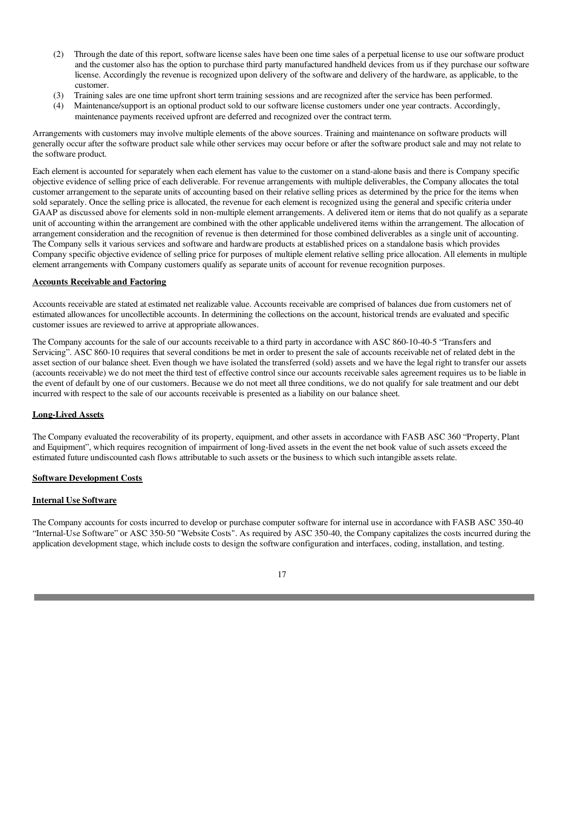- (2) Through the date of this report, software license sales have been one time sales of a perpetual license to use our software product and the customer also has the option to purchase third party manufactured handheld devices from us if they purchase our software license. Accordingly the revenue is recognized upon delivery of the software and delivery of the hardware, as applicable, to the customer.
- (3) Training sales are one time upfront short term training sessions and are recognized after the service has been performed.
- $(4)$ Maintenance/support is an optional product sold to our software license customers under one year contracts. Accordingly, maintenance payments received upfront are deferred and recognized over the contract term.

Arrangements with customers may involve multiple elements of the above sources. Training and maintenance on software products will generally occur after the software product sale while other services may occur before or after the software product sale and may not relate to the software product.

Each element is accounted for separately when each element has value to the customer on a stand-alone basis and there is Company specific objective evidence of selling price of each deliverable. For revenue arrangements with multiple deliverables, the Company allocates the total customer arrangement to the separate units of accounting based on their relative selling prices as determined by the price for the items when sold separately. Once the selling price is allocated, the revenue for each element is recognized using the general and specific criteria under GAAP as discussed above for elements sold in non-multiple element arrangements. A delivered item or items that do not qualify as a separate unit of accounting within the arrangement are combined with the other applicable undelivered items within the arrangement. The allocation of arrangement consideration and the recognition of revenue is then determined for those combined deliverables as a single unit of accounting. The Company sells it various services and software and hardware products at established prices on a standalone basis which provides Company specific objective evidence of selling price for purposes of multiple element relative selling price allocation. All elements in multiple element arrangements with Company customers qualify as separate units of account for revenue recognition purposes.

#### Accounts Receivable and Factoring

Accounts receivable are stated at estimated net realizable value. Accounts receivable are comprised of balances due from customers net of estimated allowances for uncollectible accounts. In determining the collections on the account, historical trends are evaluated and specific customer issues are reviewed to arrive at appropriate allowances.

The Company accounts for the sale of our accounts receivable to a third party in accordance with ASC 860-10-40-5 "Transfers and Servicing". ASC 860-10 requires that several conditions be met in order to present the sale of accounts receivable net of related debt in the asset section of our balance sheet. Even though we have isolated the transferred (sold) assets and we have the legal right to transfer our assets (accounts receivable) we do not meet the third test of effective control since our accounts receivable sales agreement requires us to be liable in the event of default by one of our customers. Because we do not meet all three conditions, we do not qualify for sale treatment and our debt incurred with respect to the sale of our accounts receivable is presented as a liability on our balance sheet.

#### Long-Lived Assets

The Company evaluated the recoverability of its property, equipment, and other assets in accordance with FASB ASC 360 "Property, Plant and Equipment", which requires recognition of impairment of long-lived assets in the event the net book value of such assets exceed the estimated future undiscounted cash flows attributable to such assets or the business to which such intangible assets relate.

#### Software Development Costs

#### Internal Use Software

The Company accounts for costs incurred to develop or purchase computer software for internal use in accordance with FASB ASC 350-40 "Internal-Use Software" or ASC 350-50 "Website Costs". As required by ASC 350-40, the Company capitalizes the costs incurred during the application development stage, which include costs to design the software configuration and interfaces, coding, installation, and testing.

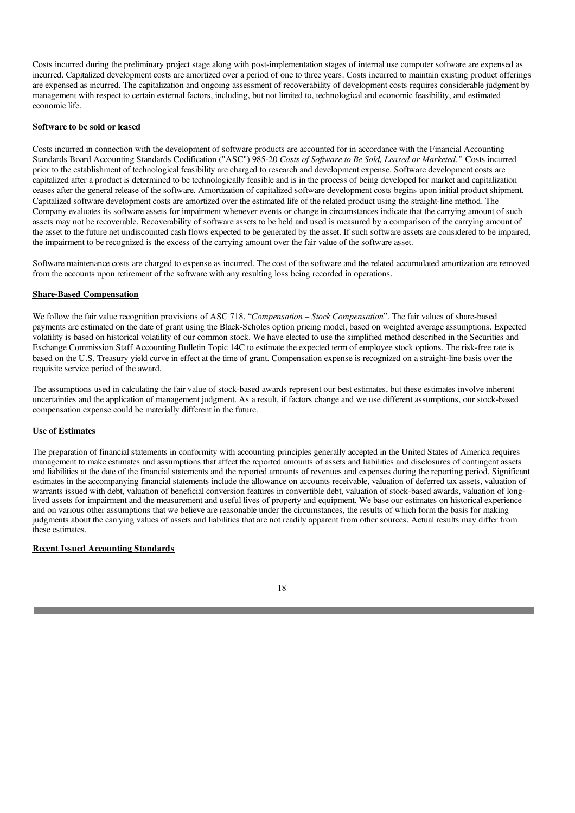Costs incurred during the preliminary project stage along with post-implementation stages of internal use computer software are expensed as incurred. Capitalized development costs are amortized over a period of one to three years. Costs incurred to maintain existing product offerings are expensed as incurred. The capitalization and ongoing assessment of recoverability of development costs requires considerable judgment by management with respect to certain external factors, including, but not limited to, technological and economic feasibility, and estimated economic life.

#### Software to be sold or leased

Costs incurred in connection with the development of software products are accounted for in accordance with the Financial Accounting Standards Board Accounting Standards Codification ("ASC") 985-20 *Costs of Software to Be Sold, Leased or Marketed."* Costs incurred prior to the establishment of technological feasibility are charged to research and development expense. Software development costs are capitalized after a product is determined to be technologically feasible and is in the process of being developed for market and capitalization ceases after the general release of the software. Amortization of capitalized software development costs begins upon initial product shipment. Capitalized software development costs are amortized over the estimated life of the related product using the straight-line method. The Company evaluates its software assets for impairment whenever events or change in circumstances indicate that the carrying amount of such assets may not be recoverable. Recoverability of software assets to be held and used is measured by a comparison of the carrying amount of the asset to the future net undiscounted cash flows expected to be generated by the asset. If such software assets are considered to be impaired, the impairment to be recognized is the excess of the carrying amount over the fair value of the software asset.

Software maintenance costs are charged to expense as incurred. The cost of the software and the related accumulated amortization are removed from the accounts upon retirement of the software with any resulting loss being recorded in operations.

#### Share-Based Compensation

We follow the fair value recognition provisions of ASC 718, "*Compensation – Stock Compensation*". The fair values of share-based payments are estimated on the date of grant using the Black-Scholes option pricing model, based on weighted average assumptions. Expected volatility is based on historical volatility of our common stock. We have elected to use the simplified method described in the Securities and Exchange Commission Staff Accounting Bulletin Topic 14C to estimate the expected term of employee stock options. The risk-free rate is based on the U.S. Treasury yield curve in effect at the time of grant. Compensation expense is recognized on a straight-line basis over the requisite service period of the award.

The assumptions used in calculating the fair value of stock-based awards represent our best estimates, but these estimates involve inherent uncertainties and the application of management judgment. As a result, if factors change and we use different assumptions, our stock-based compensation expense could be materially different in the future.

### Use of Estimates

The preparation of financial statements in conformity with accounting principles generally accepted in the United States of America requires management to make estimates and assumptions that affect the reported amounts of assets and liabilities and disclosures of contingent assets and liabilities at the date of the financial statements and the reported amounts of revenues and expenses during the reporting period. Significant estimates in the accompanying financial statements include the allowance on accounts receivable, valuation of deferred tax assets, valuation of warrants issued with debt, valuation of beneficial conversion features in convertible debt, valuation of stock-based awards, valuation of longlived assets for impairment and the measurement and useful lives of property and equipment. We base our estimates on historical experience and on various other assumptions that we believe are reasonable under the circumstances, the results of which form the basis for making judgments about the carrying values of assets and liabilities that are not readily apparent from other sources. Actual results may differ from these estimates.

#### Recent Issued Accounting Standards

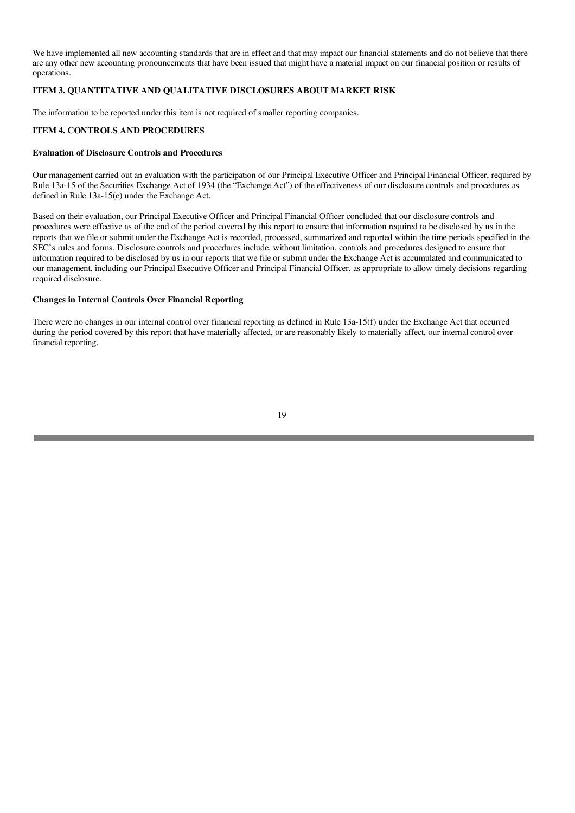We have implemented all new accounting standards that are in effect and that may impact our financial statements and do not believe that there are any other new accounting pronouncements that have been issued that might have a material impact on our financial position or results of operations.

## ITEM 3. QUANTITATIVE AND QUALITATIVE DISCLOSURES ABOUT MARKET RISK

The information to be reported under this item is not required of smaller reporting companies.

### ITEM 4. CONTROLS AND PROCEDURES

## Evaluation of Disclosure Controls and Procedures

Our management carried out an evaluation with the participation of our Principal Executive Officer and Principal Financial Officer, required by Rule 13a-15 of the Securities Exchange Act of 1934 (the "Exchange Act") of the effectiveness of our disclosure controls and procedures as defined in Rule 13a-15(e) under the Exchange Act.

Based on their evaluation, our Principal Executive Officer and Principal Financial Officer concluded that our disclosure controls and procedures were effective as of the end of the period covered by this report to ensure that information required to be disclosed by us in the reports that we file or submit under the Exchange Act is recorded, processed, summarized and reported within the time periods specified in the SEC's rules and forms. Disclosure controls and procedures include, without limitation, controls and procedures designed to ensure that information required to be disclosed by us in our reports that we file or submit under the Exchange Act is accumulated and communicated to our management, including our Principal Executive Officer and Principal Financial Officer, as appropriate to allow timely decisions regarding required disclosure.

#### Changes in Internal Controls Over Financial Reporting

There were no changes in our internal control over financial reporting as defined in Rule 13a-15(f) under the Exchange Act that occurred during the period covered by this report that have materially affected, or are reasonably likely to materially affect, our internal control over financial reporting.

| P.             |
|----------------|
| ë              |
| ۰.<br>۰,<br>۰. |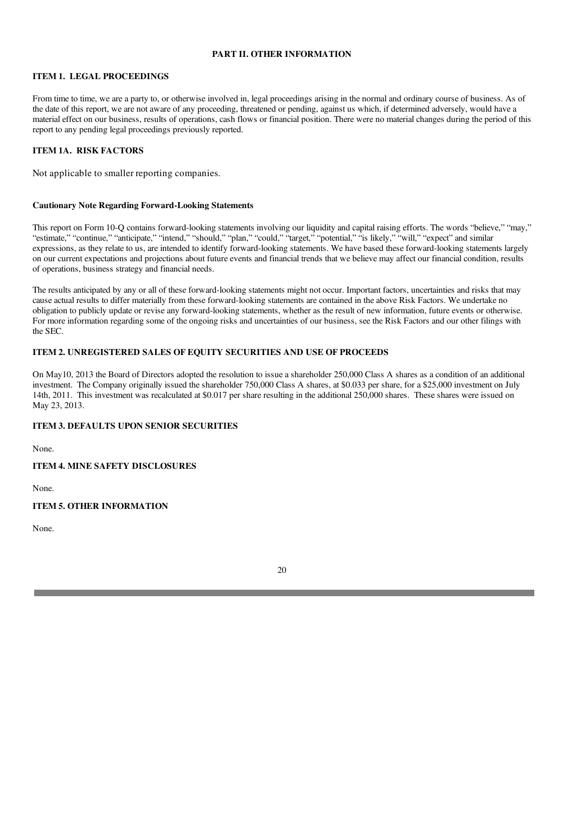#### PART II. OTHER INFORMATION

#### ITEM 1. LEGAL PROCEEDINGS

From time to time, we are a party to, or otherwise involved in, legal proceedings arising in the normal and ordinary course of business. As of the date of this report, we are not aware of any proceeding, threatened or pending, against us which, if determined adversely, would have a material effect on our business, results of operations, cash flows or financial position. There were no material changes during the period of this report to any pending legal proceedings previously reported.

## ITEM 1A. RISK FACTORS

Not applicable to smaller reporting companies.

#### Cautionary Note Regarding Forward-Looking Statements

This report on Form 10-Q contains forward-looking statements involving our liquidity and capital raising efforts. The words "believe," "may," "estimate," "continue," "anticipate," "intend," "should," "plan," "could," "target," "potential," "is likely," "will," "expect" and similar expressions, as they relate to us, are intended to identify forward-looking statements. We have based these forward-looking statements largely on our current expectations and projections about future events and financial trends that we believe may affect our financial condition, results of operations, business strategy and financial needs.

The results anticipated by any or all of these forward-looking statements might not occur. Important factors, uncertainties and risks that may cause actual results to differ materially from these forward-looking statements are contained in the above Risk Factors. We undertake no obligation to publicly update or revise any forward-looking statements, whether as the result of new information, future events or otherwise. For more information regarding some of the ongoing risks and uncertainties of our business, see the Risk Factors and our other filings with the SEC.

## ITEM 2. UNREGISTERED SALES OF EQUITY SECURITIES AND USE OF PROCEEDS

On May10, 2013 the Board of Directors adopted the resolution to issue a shareholder 250,000 Class A shares as a condition of an additional investment. The Company originally issued the shareholder 750,000 Class A shares, at \$0.033 per share, for a \$25,000 investment on July 14th, 2011. This investment was recalculated at \$0.017 per share resulting in the additional 250,000 shares. These shares were issued on May 23, 2013.

## ITEM 3. DEFAULTS UPON SENIOR SECURITIES

None.

#### ITEM 4. MINE SAFETY DISCLOSURES

None.

## ITEM 5. OTHER INFORMATION

None.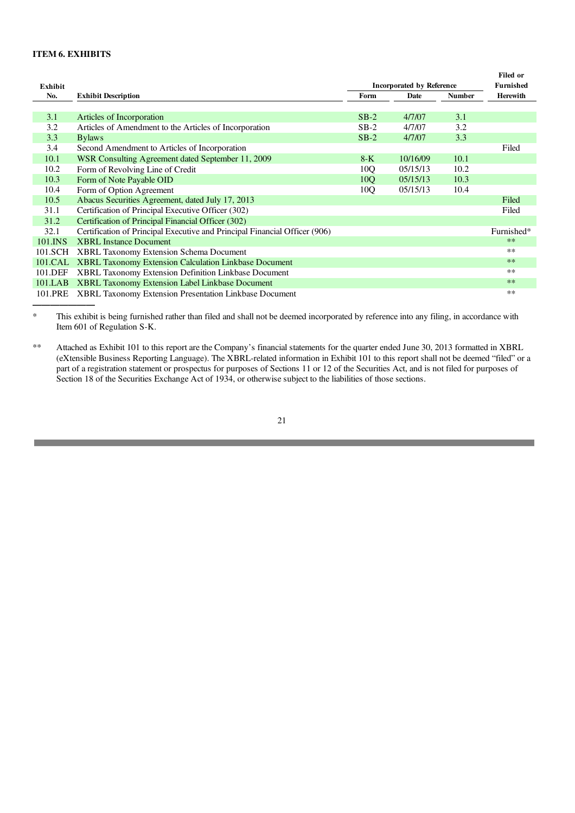## ITEM 6. EXHIBITS

———————

|         |                                                                            |                 |                                  |               | <b>Filed or</b>  |
|---------|----------------------------------------------------------------------------|-----------------|----------------------------------|---------------|------------------|
| Exhibit |                                                                            |                 | <b>Incorporated by Reference</b> |               | <b>Furnished</b> |
| No.     | <b>Exhibit Description</b>                                                 | Form            | Date                             | <b>Number</b> | Herewith         |
|         |                                                                            |                 |                                  |               |                  |
| 3.1     | Articles of Incorporation                                                  | $SB-2$          | 4/7/07                           | 3.1           |                  |
| 3.2     | Articles of Amendment to the Articles of Incorporation                     | $SB-2$          | 4/7/07                           | 3.2           |                  |
| 3.3     | <b>Bylaws</b>                                                              | $SB-2$          | 4/7/07                           | 3.3           |                  |
| 3.4     | Second Amendment to Articles of Incorporation                              |                 |                                  |               | Filed            |
| 10.1    | WSR Consulting Agreement dated September 11, 2009                          | $8-K$           | 10/16/09                         | 10.1          |                  |
| 10.2    | Form of Revolving Line of Credit                                           | 10Q             | 05/15/13                         | 10.2          |                  |
| 10.3    | Form of Note Payable OID                                                   | 10 <sub>O</sub> | 05/15/13                         | 10.3          |                  |
| 10.4    | Form of Option Agreement                                                   | 10Q             | 05/15/13                         | 10.4          |                  |
| 10.5    | Abacus Securities Agreement, dated July 17, 2013                           |                 |                                  |               | Filed            |
| 31.1    | Certification of Principal Executive Officer (302)                         |                 |                                  |               | Filed            |
| 31.2    | Certification of Principal Financial Officer (302)                         |                 |                                  |               |                  |
| 32.1    | Certification of Principal Executive and Principal Financial Officer (906) |                 |                                  |               | Furnished*       |
| 101.INS | <b>XBRL Instance Document</b>                                              |                 |                                  |               | $**$             |
| 101.SCH | <b>XBRL Taxonomy Extension Schema Document</b>                             |                 |                                  |               | **               |
| 101.CAL | XBRL Taxonomy Extension Calculation Linkbase Document                      |                 |                                  |               | $**$             |
| 101.DEF | XBRL Taxonomy Extension Definition Linkbase Document                       |                 |                                  |               | $***$            |
| 101.LAB | XBRL Taxonomy Extension Label Linkbase Document                            |                 |                                  |               | **               |
| 101.PRE | <b>XBRL Taxonomy Extension Presentation Linkbase Document</b>              |                 |                                  |               | $***$            |

\* This exhibit is being furnished rather than filed and shall not be deemed incorporated by reference into any filing, in accordance with Item 601 of Regulation S-K.

\*\* Attached as Exhibit 101 to this report are the Company's financial statements for the quarter ended June 30, 2013 formatted in XBRL (eXtensible Business Reporting Language). The XBRL-related information in Exhibit 101 to this report shall not be deemed "filed" or a part of a registration statement or prospectus for purposes of Sections 11 or 12 of the Securities Act, and is not filed for purposes of Section 18 of the Securities Exchange Act of 1934, or otherwise subject to the liabilities of those sections.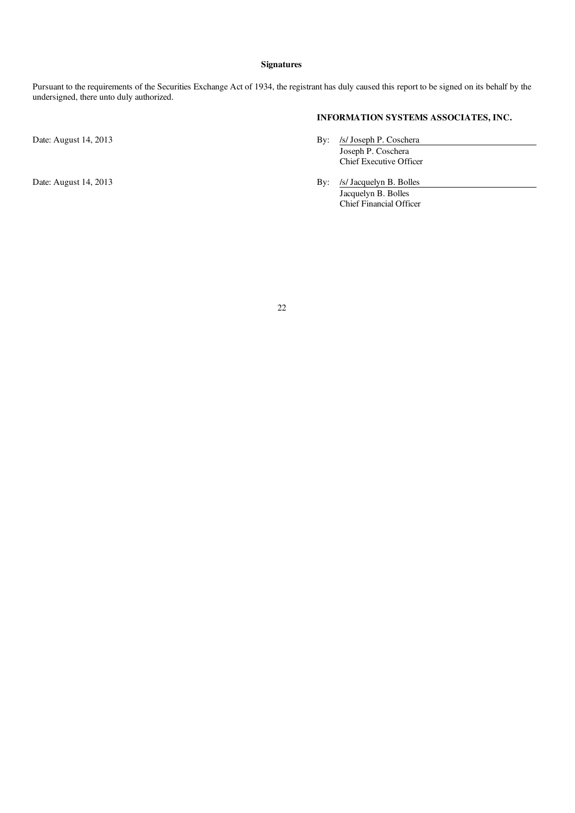### Signatures

Pursuant to the requirements of the Securities Exchange Act of 1934, the registrant has duly caused this report to be signed on its behalf by the undersigned, there unto duly authorized.

## INFORMATION SYSTEMS ASSOCIATES, INC.

Date: August 14, 2013 By: /s/ Joseph P. Coschera

Joseph P. Coschera Chief Executive Officer

Date: August 14, 2013 By: /s/ Jacquelyn B. Bolles Jacquelyn B. Bolles Chief Financial Officer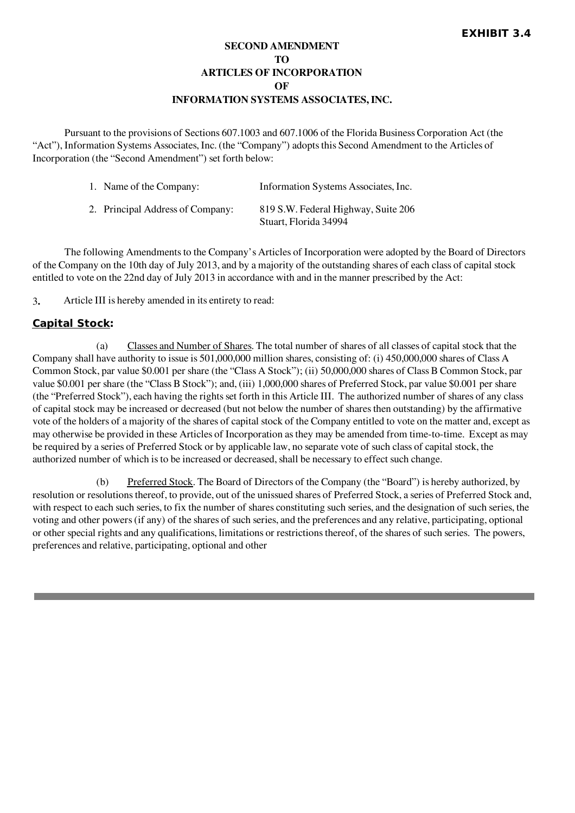# SECOND AMENDMENT TO ARTICLES OF INCORPORATION OF INFORMATION SYSTEMS ASSOCIATES,INC.

Pursuant to the provisions of Sections 607.1003 and 607.1006 of the Florida Business Corporation Act (the "Act"), Information Systems Associates, Inc. (the "Company") adopts this Second Amendment to the Articles of Incorporation (the "Second Amendment") set forth below:

| 1. Name of the Company:          | Information Systems Associates, Inc.                         |
|----------------------------------|--------------------------------------------------------------|
| 2. Principal Address of Company: | 819 S.W. Federal Highway, Suite 206<br>Stuart, Florida 34994 |

The following Amendments to the Company's Articles of Incorporation were adopted by the Board of Directors of the Company on the 10th day of July 2013, and by a majority of the outstanding shares of each class of capital stock entitled to vote on the 22nd day of July 2013 in accordance with and in the manner prescribed by the Act:

3. Article III is hereby amended in its entirety to read:

# **Capital Stock:**

(a) Classes and Number of Shares. The total number of shares of all classes of capital stock that the Company shall have authority to issue is 501,000,000 million shares, consisting of: (i) 450,000,000 shares of Class A Common Stock, par value \$0.001 per share (the "Class A Stock"); (ii) 50,000,000 shares of Class B Common Stock, par value \$0.001 per share (the "Class B Stock"); and, (iii) 1,000,000 shares of Preferred Stock, par value \$0.001 per share (the "Preferred Stock"), each having the rights set forth in this Article III. The authorized number of shares of any class of capital stock may be increased or decreased (but not below the number of sharesthen outstanding) by the affirmative vote of the holders of a majority of the shares of capital stock of the Company entitled to vote on the matter and, except as may otherwise be provided in these Articles of Incorporation asthey may be amended from time-to-time. Except as may be required by a series of Preferred Stock or by applicable law, no separate vote of such class of capital stock, the authorized number of which is to be increased or decreased, shall be necessary to effect such change.

(b) Preferred Stock. The Board of Directors of the Company (the "Board") is hereby authorized, by resolution or resolutions thereof, to provide, out of the unissued shares of Preferred Stock, a series of Preferred Stock and, with respect to each such series, to fix the number of shares constituting such series, and the designation of such series, the voting and other powers(if any) of the shares of such series, and the preferences and any relative, participating, optional or other special rights and any qualifications, limitations or restrictionsthereof, of the shares of such series. The powers, preferences and relative, participating, optional and other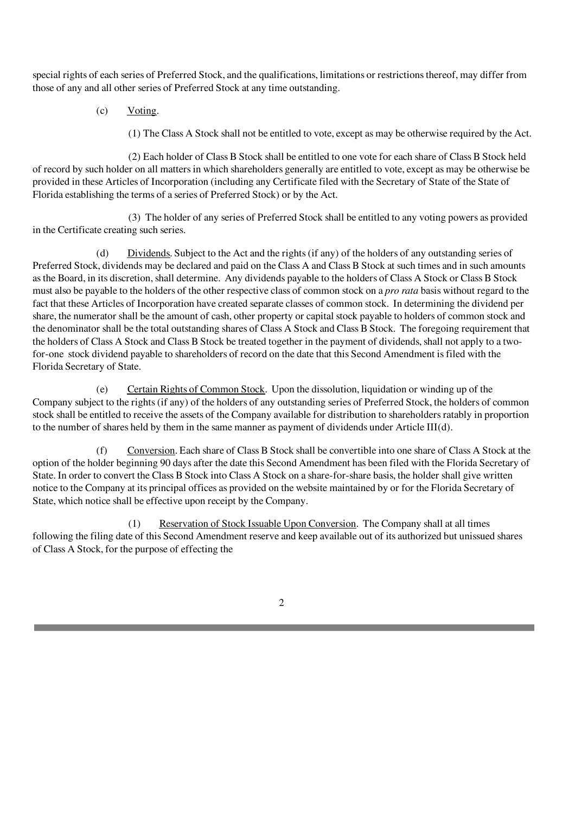special rights of each series of Preferred Stock, and the qualifications, limitations or restrictions thereof, may differ from those of any and all other series of Preferred Stock at any time outstanding.

> (c) Voting.

> > (1) The Class A Stock shall not be entitled to vote, except as may be otherwise required by the Act.

(2) Each holder of Class B Stock shall be entitled to one vote for each share of Class B Stock held of record by such holder on all mattersin which shareholders generally are entitled to vote, except as may be otherwise be provided in these Articles of Incorporation (including any Certificate filed with the Secretary of State of the State of Florida establishing the terms of a series of Preferred Stock) or by the Act.

(3) The holder of any series of Preferred Stock shall be entitled to any voting powers as provided in the Certificate creating such series.

(d) Dividends. Subject to the Act and the rights(if any) of the holders of any outstanding series of Preferred Stock, dividends may be declared and paid on the Class A and Class B Stock at such times and in such amounts as the Board, in its discretion, shall determine. Any dividends payable to the holders of Class A Stock or Class B Stock must also be payable to the holders of the other respective class of common stock on a *pro rata* basis without regard to the fact that these Articles of Incorporation have created separate classes of common stock. In determining the dividend per share, the numerator shall be the amount of cash, other property or capital stock payable to holders of common stock and the denominator shall be the total outstanding shares of Class A Stock and Class B Stock. The foregoing requirement that the holders of Class A Stock and Class B Stock be treated together in the payment of dividends, shall not apply to a twofor-one stock dividend payable to shareholders of record on the date that this Second Amendment isfiled with the Florida Secretary of State.

(e) Certain Rights of Common Stock. Upon the dissolution, liquidation or winding up of the Company subject to the rights (if any) of the holders of any outstanding series of Preferred Stock, the holders of common stock shall be entitled to receive the assets of the Company available for distribution to shareholders ratably in proportion to the number of shares held by them in the same manner as payment of dividends under Article III(d).

(f) Conversion. Each share of Class B Stock shall be convertible into one share of Class A Stock at the option of the holder beginning 90 days after the date this Second Amendment has been filed with the Florida Secretary of State. In order to convert the Class B Stock into Class A Stock on a share-for-share basis, the holder shall give written notice to the Company at its principal offices as provided on the website maintained by or for the Florida Secretary of State, which notice shall be effective upon receipt by the Company.

(1) Reservation of Stock Issuable Upon Conversion. The Company shall at all times following the filing date of this Second Amendment reserve and keep available out of its authorized but unissued shares of Class A Stock, for the purpose of effecting the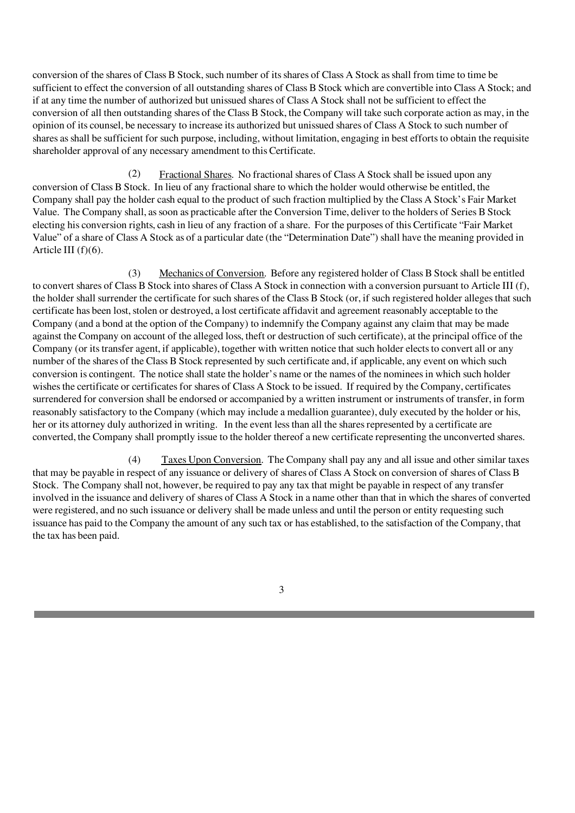conversion of the shares of Class B Stock, such number of its shares of Class A Stock as shall from time to time be sufficient to effect the conversion of all outstanding shares of Class B Stock which are convertible into Class A Stock; and if at any time the number of authorized but unissued shares of Class A Stock shall not be sufficient to effect the conversion of all then outstanding shares of the Class B Stock, the Company will take such corporate action as may, in the opinion of its counsel, be necessary to increase its authorized but unissued shares of Class A Stock to such number of shares as shall be sufficient for such purpose, including, without limitation, engaging in best efforts to obtain the requisite shareholder approval of any necessary amendment to this Certificate.

(2) Fractional Shares. No fractional shares of Class A Stock shall be issued upon any conversion of Class B Stock. In lieu of any fractional share to which the holder would otherwise be entitled, the Company shall pay the holder cash equal to the product of such fraction multiplied by the Class A Stock's Fair Market Value. The Company shall, assoon as practicable after the Conversion Time, deliver to the holders of Series B Stock electing his conversion rights, cash in lieu of any fraction of a share. For the purposes of this Certificate "Fair Market Value" of a share of Class A Stock as of a particular date (the "Determination Date") shall have the meaning provided in Article III (f)(6).

(3) Mechanics of Conversion. Before any registered holder of Class B Stock shall be entitled to convert shares of Class B Stock into shares of Class A Stock in connection with a conversion pursuant to Article III (f), the holder shall surrender the certificate for such shares of the Class B Stock (or, if such registered holder allegesthat such certificate has been lost, stolen or destroyed, a lost certificate affidavit and agreement reasonably acceptable to the Company (and a bond at the option of the Company) to indemnify the Company against any claim that may be made against the Company on account of the alleged loss, theft or destruction of such certificate), at the principal office of the Company (or its transfer agent, if applicable), together with written notice that such holder elects to convert all or any number of the shares of the Class B Stock represented by such certificate and, if applicable, any event on which such conversion is contingent. The notice shall state the holder's name or the names of the nomineesin which such holder wishes the certificate or certificates for shares of Class A Stock to be issued. If required by the Company, certificates surrendered for conversion shall be endorsed or accompanied by a written instrument or instruments of transfer, in form reasonably satisfactory to the Company (which may include a medallion guarantee), duly executed by the holder or his, her or its attorney duly authorized in writing. In the event less than all the shares represented by a certificate are converted, the Company shall promptly issue to the holder thereof a new certificate representing the unconverted shares.

(4) Taxes Upon Conversion. The Company shall pay any and all issue and other similar taxes that may be payable in respect of any issuance or delivery of shares of Class A Stock on conversion of shares of Class B Stock. The Company shall not, however, be required to pay any tax that might be payable in respect of any transfer involved in the issuance and delivery of shares of Class A Stock in a name other than that in which the shares of converted were registered, and no such issuance or delivery shall be made unless and until the person or entity requesting such issuance has paid to the Company the amount of any such tax or has established, to the satisfaction of the Company, that the tax has been paid.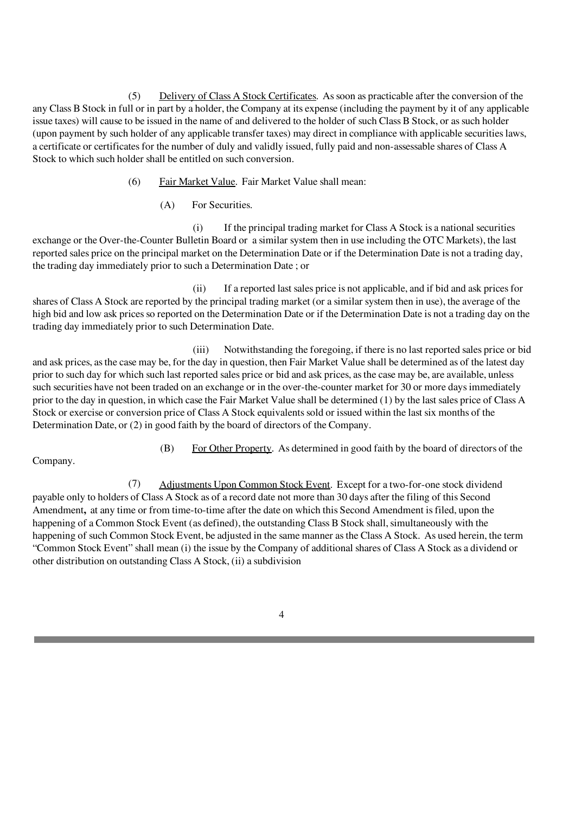(5) Delivery of Class A Stock Certificates. Assoon as practicable after the conversion of the any Class B Stock in full or in part by a holder, the Company at its expense (including the payment by it of any applicable issue taxes) will cause to be issued in the name of and delivered to the holder of such Class B Stock, or as such holder (upon payment by such holder of any applicable transfer taxes) may direct in compliance with applicable securitieslaws, a certificate or certificates for the number of duly and validly issued, fully paid and non-assessable shares of Class A Stock to which such holder shall be entitled on such conversion.

- (6) Fair Market Value. Fair Market Value shall mean:
	- (A) For Securities.

(i) If the principal trading market for Class A Stock is a national securities exchange or the Over-the-Counter Bulletin Board or a similar system then in use including the OTC Markets), the last reported sales price on the principal market on the Determination Date or if the Determination Date is not a trading day, the trading day immediately prior to such a Determination Date ; or

(ii) If a reported last sales price is not applicable, and if bid and ask pricesfor shares of Class A Stock are reported by the principal trading market (or a similar system then in use), the average of the high bid and low ask pricesso reported on the Determination Date or if the Determination Date is not a trading day on the trading day immediately prior to such Determination Date.

 $(iii)$ Notwithstanding the foregoing, if there is no last reported sales price or bid and ask prices, asthe case may be, for the day in question, then Fair Market Value shall be determined as of the latest day prior to such day for which such last reported sales price or bid and ask prices, asthe case may be, are available, unless such securities have not been traded on an exchange or in the over-the-counter market for 30 or more daysimmediately prior to the day in question, in which case the Fair Market Value shall be determined (1) by the last sales price of Class A Stock or exercise or conversion price of Class A Stock equivalents sold or issued within the last six months of the Determination Date, or (2) in good faith by the board of directors of the Company.

Company.

(B) For Other Property. As determined in good faith by the board of directors of the

(7) Adjustments Upon Common Stock Event. Except for a two-for-one stock dividend payable only to holders of Class A Stock as of a record date not more than 30 days after the filing of this Second Amendment, at any time or from time-to-time after the date on which this Second Amendment isfiled, upon the happening of a Common Stock Event (as defined), the outstanding Class B Stock shall, simultaneously with the happening of such Common Stock Event, be adjusted in the same manner asthe Class A Stock. As used herein, the term "Common Stock Event" shall mean (i) the issue by the Company of additional shares of Class A Stock as a dividend or other distribution on outstanding Class A Stock, (ii) a subdivision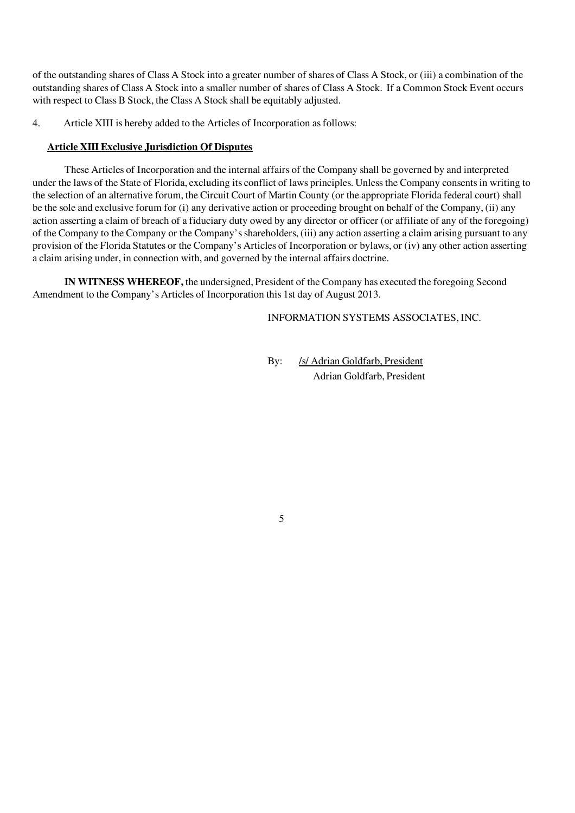of the outstanding shares of Class A Stock into a greater number of shares of Class A Stock, or (iii) a combination of the outstanding shares of Class A Stock into a smaller number of shares of Class A Stock. If a Common Stock Event occurs with respect to Class B Stock, the Class A Stock shall be equitably adjusted.

4. Article XIII is hereby added to the Articles of Incorporation asfollows:

## Article XIII Exclusive Jurisdiction Of Disputes

These Articles of Incorporation and the internal affairs of the Company shall be governed by and interpreted under the laws of the State of Florida, excluding its conflict of laws principles. Unless the Company consents in writing to the selection of an alternative forum, the Circuit Court of Martin County (or the appropriate Florida federal court) shall be the sole and exclusive forum for (i) any derivative action or proceeding brought on behalf of the Company, (ii) any action asserting a claim of breach of a fiduciary duty owed by any director or officer (or affiliate of any of the foregoing) of the Company to the Company or the Company'sshareholders, (iii) any action asserting a claim arising pursuant to any provision of the Florida Statutes or the Company's Articles of Incorporation or bylaws, or (iv) any other action asserting a claim arising under, in connection with, and governed by the internal affairs doctrine.

IN WITNESS WHEREOF, the undersigned, President of the Company has executed the foregoing Second Amendment to the Company's Articles of Incorporation this 1st day of August 2013.

INFORMATION SYSTEMS ASSOCIATES, INC.

By: /s/ Adrian Goldfarb, President Adrian Goldfarb, President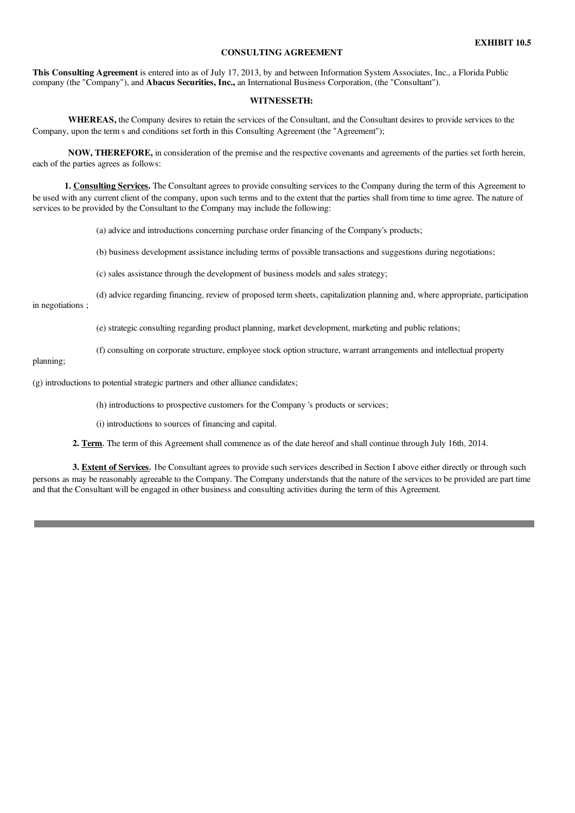## CONSULTING AGREEMENT

This Consulting Agreement is entered into as of July 17, 2013, by and between Information System Associates, Inc., a Florida Public company (the "Company"), and Abacus Securities, Inc., an International Business Corporation, (the "Consultant").

### WITNESSETH:

WHEREAS, the Company desires to retain the services of the Consultant, and the Consultant desires to provide services to the Company, upon the term s and conditions set forth in this Consulting Agreement (the "Agreement");

NOW, THEREFORE, in consideration of the premise and the respective covenants and agreements of the parties set forth herein, each of the parties agrees as follows:

1. Consulting Services. The Consultant agrees to provide consulting services to the Company during the term of this Agreement to be used with any current client of the company, upon such terms and to the extent that the parties shall from time to time agree. The nature of services to be provided by the Consultant to the Company may include the following:

(a) advice and introductions concerning purchase order financing of the Company's products;

(b) business development assistance including terms of possible transactions and suggestions during negotiations;

(c) sales assistance through the development of business models and sales strategy;

(d) advice regarding financing, review of proposed term sheets, capitalization planning and, where appropriate, participation in negotiations ;

(e) strategic consulting regarding product planning, market development, marketing and public relations;

(f) consulting on corporate structure, employee stock option structure, warrant arrangements and intellectual property

planning;

(g) introductions to potential strategic partners and other alliance candidates;

(h) introductions to prospective customers for the Company 's products or services;

(i) introductions to sources of financing and capital.

2. Term. The term of this Agreement shall commence as of the date hereof and shall continue through July 16th, 2014.

3. Extent of Services. 1be Consultant agrees to provide such services described in Section I above either directly or through such persons as may be reasonably agreeable to the Company. The Company understands that the nature of the services to be provided are part time and that the Consultant will be engaged in other business and consulting activities during the term of this Agreement.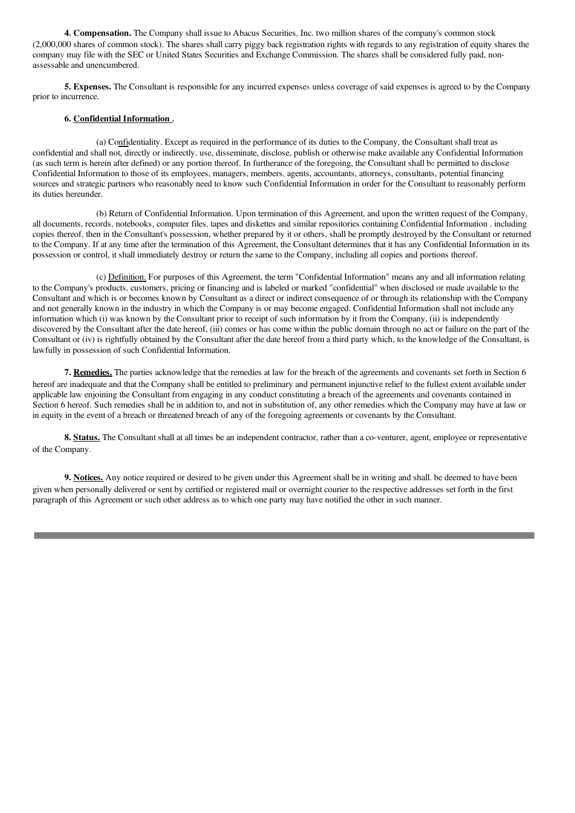4. Compensation. The Company shall issue to Abacus Securities, Inc. two million shares of the company's common stock (2,000,000 shares of common stock). The shares shall carry piggy back registration rights with regards to any registration of equity shares the company may file with the SEC or United States Securities and Exchange Commission. The shares shall be considered fully paid, nonassessable and unencumbered.

5. Expenses. The Consultant is responsible for any incurred expenses unless coverage of said expenses is agreed to by the Company prior to incurrence.

### 6. Confidential Information .

(a) Confidentiality. Except as required in the performance of its duties to the Company, the Consultant shall treat as confidential and shall not, directly or indirectly, use, disseminate, disclose, publish or otherwise make available any Confidential Information (as such term is herein after defined) or any portion thereof. In furtherance of the foregoing, the Consultant shall be permitted to disclose Confidential Information to those of its employees, managers, members, agents, accountants, attorneys, consultants, potential financing sources and strategic partners who reasonably need to know such Confidential Information in order for the Consultant to reasonably perform its duties hereunder.

(b) Return of Confidential Information. Upon termination of this Agreement, and upon the written request of the Company, all documents, records, notebooks, computer files, tapes and diskettes and similar repositories containing Confidential Information , including copies thereof, then in the Consultant's possession, whether prepared by it or others, shall be promptly destroyed by the Consultant or returned to the Company. If at any time after the termination of this Agreement, the Consultant determines that it has any Confidential Information in its possession or control, it shall immediately destroy or return the same to the Company, including all copies and portions thereof.

(c) Definition. For purposes of this Agreement, the term "Confidential Information" means any and all information relating to the Company's products, customers, pricing or financing and is labeled or marked "confidential" when disclosed or made available to the Consultant and which is or becomes known by Consultant as a direct or indirect consequence of or through its relationship with the Company and not generally known in the industry in which the Company is or may become engaged. Confidential Information shall not include any information which (i) was known by the Consultant prior to receipt of such information by it from the Company, (ii) is independently discovered by the Consultant after the date hereof, (iii) comes or has come within the public domain through no act or failure on the part of the Consultant or (iv) is rightfully obtained by the Consultant after the date hereof from a third party which, to the knowledge of the Consultant, is lawfully in possession of such Confidential Information.

7. Remedies. The parties acknowledge that the remedies at law for the breach of the agreements and covenants set forth in Section 6 hereof are inadequate and that the Company shall be entitled to preliminary and permanent injunctive relief to the fullest extent available under applicable law enjoining the Consultant from engaging in any conduct constituting a breach of the agreements and covenants contained in Section 6 hereof. Such remedies shall be in addition to, and not in substitution of, any other remedies which the Company may have at law or in equity in the event of a breach or threatened breach of any of the foregoing agreements or covenants by the Consultant.

8. Status. The Consultant shall at all times be an independent contractor, rather than a co-venturer, agent, employee or representative of the Company.

9. Notices. Any notice required or desired to be given under this Agreement shall be in writing and shall. be deemed to have been given when personally delivered or sent by certified or registered mail or overnight courier to the respective addresses set forth in the first paragraph of this Agreement or such other address as to which one party may have notified the other in such manner.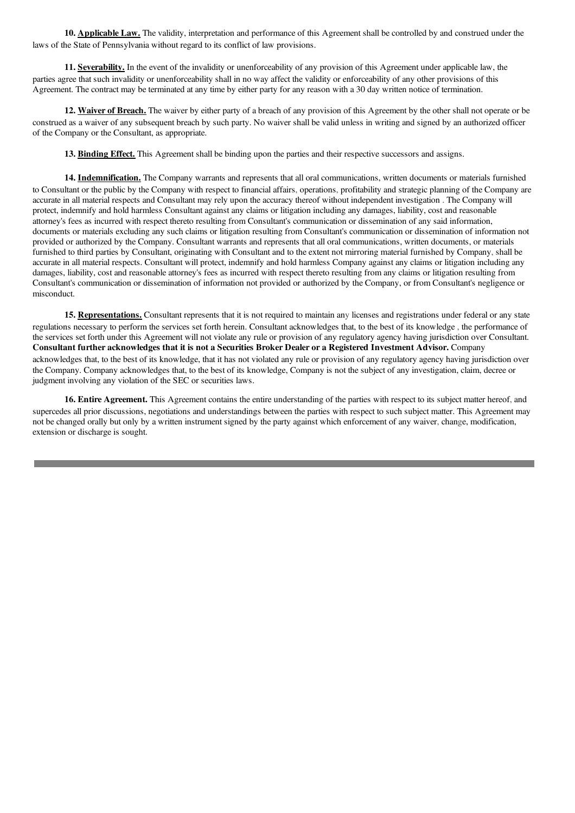10. Applicable Law. The validity, interpretation and performance of this Agreement shall be controlled by and construed under the laws of the State of Pennsylvania without regard to its conflict of law provisions.

11. Severability. In the event of the invalidity or unenforceability of any provision of this Agreement under applicable law, the parties agree that such invalidity or unenforceability shall in no way affect the validity or enforceability of any other provisions of this Agreement. The contract may be terminated at any time by either party for any reason with a 30 day written notice of termination.

12. Waiver of Breach. The waiver by either party of a breach of any provision of this Agreement by the other shall not operate or be construed as a waiver of any subsequent breach by such party. No waiver shall be valid unless in writing and signed by an authorized officer of the Company or the Consultant, as appropriate.

13. Binding Effect. This Agreement shall be binding upon the parties and their respective successors and assigns.

14. Indemnification. The Company warrants and represents that all oral communications, written documents or materials furnished to Consultant or the public by the Company with respect to financial affairs, operations, profitability and strategic planning of the Company are accurate in all material respects and Consultant may rely upon the accuracy thereof without independent investigation . The Company will protect, indemnify and hold harmless Consultant against any claims or litigation including any damages, liability, cost and reasonable attorney's fees as incurred with respect thereto resulting from Consultant's communication or dissemination of any said information, documents or materials excluding any such claims or litigation resulting from Consultant's communication or dissemination of information not provided or authorized by the Company. Consultant warrants and represents that all oral communications, written documents, or materials furnished to third parties by Consultant, originating with Consultant and to the extent not mirroring material furnished by Company, shall be accurate in all material respects. Consultant will protect, indemnify and hold harmless Company against any claims or litigation including any damages, liability, cost and reasonable attorney's fees as incurred with respect thereto resulting from any claims or litigation resulting from Consultant's communication or dissemination of information not provided or authorized by the Company, or from Consultant's negligence or misconduct.

15. Representations. Consultant represents that it is not required to maintain any licenses and registrations under federal or any state regulations necessary to perform the services set forth herein. Consultant acknowledges that, to the best of its knowledge , the performance of the services set forth under this Agreement will not violate any rule or provision of any regulatory agency having jurisdiction over Consultant. Consultant further acknowledges that it is not a Securities Broker Dealer or a Registered Investment Advisor. Company acknowledges that, to the best of its knowledge, that it has not violated any rule or provision of any regulatory agency having jurisdiction over the Company. Company acknowledges that, to the best of its knowledge, Company is not the subject of any investigation, claim, decree or judgment involving any violation of the SEC or securities laws.

16. Entire Agreement. This Agreement contains the entire understanding of the parties with respect to its subject matter hereof, and supercedes all prior discussions, negotiations and understandings between the parties with respect to such subject matter. This Agreement may not be changed orally but only by a written instrument signed by the party against which enforcement of any waiver, change, modification, extension or discharge is sought.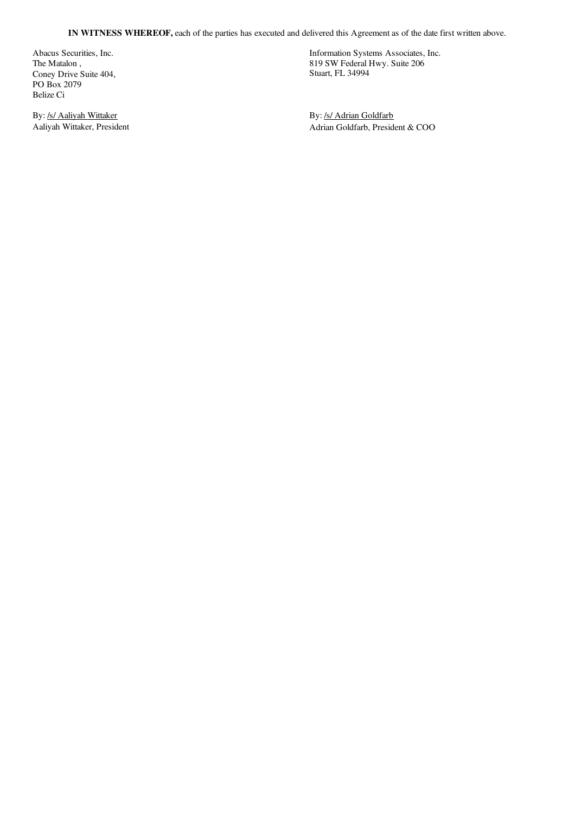Abacus Securities, Inc. The Matalon , Coney Drive Suite 404, PO Box 2079 Belize Ci

By: /s/ Aaliyah Wittaker By: /s/ Adrian Goldfarb

Information Systems Associates, Inc. 819 SW Federal Hwy. Suite 206 Stuart, FL 34994

Aaliyah Wittaker, President Adrian Goldfarb, President & COO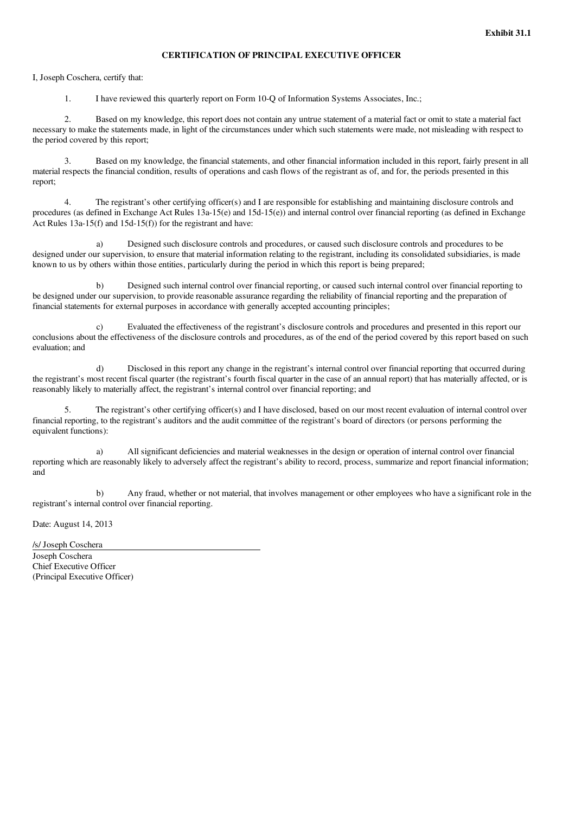### CERTIFICATION OF PRINCIPAL EXECUTIVE OFFICER

I, Joseph Coschera, certify that:

1. I have reviewed this quarterly report on Form 10-Q of Information Systems Associates, Inc.;

2. Based on my knowledge, this report does not contain any untrue statement of a material fact or omit to state a material fact necessary to make the statements made, in light of the circumstances under which such statements were made, not misleading with respect to the period covered by this report;

3. Based on my knowledge, the financial statements, and other financial information included in this report, fairly present in all material respects the financial condition, results of operations and cash flows of the registrant as of, and for, the periods presented in this report;

4. The registrant's other certifying officer(s) and I are responsible for establishing and maintaining disclosure controls and procedures (as defined in Exchange Act Rules 13a-15(e) and 15d-15(e)) and internal control over financial reporting (as defined in Exchange Act Rules  $13a-15(f)$  and  $15d-15(f)$  for the registrant and have:

a) Designed such disclosure controls and procedures, or caused such disclosure controls and procedures to be designed under our supervision, to ensure that material information relating to the registrant, including its consolidated subsidiaries, is made known to us by others within those entities, particularly during the period in which this report is being prepared;

 $h)$ Designed such internal control over financial reporting, or caused such internal control over financial reporting to be designed under our supervision, to provide reasonable assurance regarding the reliability of financial reporting and the preparation of financial statements for external purposes in accordance with generally accepted accounting principles;

c) Evaluated the effectiveness of the registrant's disclosure controls and procedures and presented in this report our conclusions about the effectiveness of the disclosure controls and procedures, as of the end of the period covered by this report based on such evaluation; and

d) Disclosed in this report any change in the registrant's internal control over financial reporting that occurred during the registrant's most recent fiscal quarter (the registrant's fourth fiscal quarter in the case of an annual report) that has materially affected, or is reasonably likely to materially affect, the registrant's internal control over financial reporting; and

5. The registrant's other certifying officer(s) and I have disclosed, based on our most recent evaluation of internal control over financial reporting, to the registrant's auditors and the audit committee of the registrant's board of directors (or persons performing the equivalent functions):

a) All significant deficiencies and material weaknesses in the design or operation of internal control over financial reporting which are reasonably likely to adversely affect the registrant's ability to record, process, summarize and report financial information; and

b) Any fraud, whether or not material, that involves management or other employees who have a significant role in the registrant's internal control over financial reporting.

Date: August 14, 2013

/s/ Joseph Coschera

Joseph Coschera Chief Executive Officer (Principal Executive Officer)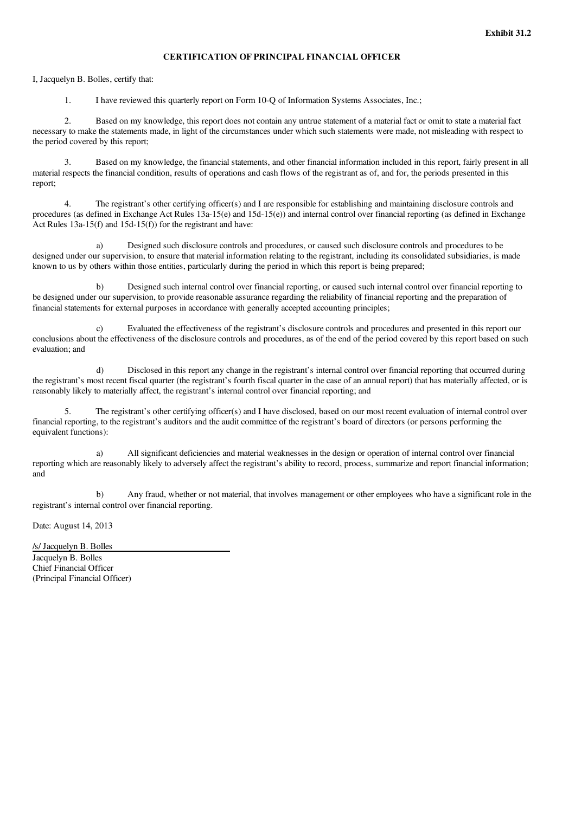## CERTIFICATION OF PRINCIPAL FINANCIAL OFFICER

I, Jacquelyn B. Bolles, certify that:

1. I have reviewed this quarterly report on Form 10-Q of Information Systems Associates, Inc.;

 $\mathcal{L}$ Based on my knowledge, this report does not contain any untrue statement of a material fact or omit to state a material fact necessary to make the statements made, in light of the circumstances under which such statements were made, not misleading with respect to the period covered by this report;

3. Based on my knowledge, the financial statements, and other financial information included in this report, fairly present in all material respects the financial condition, results of operations and cash flows of the registrant as of, and for, the periods presented in this report;

4. The registrant's other certifying officer(s) and I are responsible for establishing and maintaining disclosure controls and procedures (as defined in Exchange Act Rules 13a-15(e) and 15d-15(e)) and internal control over financial reporting (as defined in Exchange Act Rules 13a-15(f) and 15d-15(f)) for the registrant and have:

a) Designed such disclosure controls and procedures, or caused such disclosure controls and procedures to be designed under our supervision, to ensure that material information relating to the registrant, including its consolidated subsidiaries, is made known to us by others within those entities, particularly during the period in which this report is being prepared;

b) Designed such internal control over financial reporting, or caused such internal control over financial reporting to be designed under our supervision, to provide reasonable assurance regarding the reliability of financial reporting and the preparation of financial statements for external purposes in accordance with generally accepted accounting principles;

c) Evaluated the effectiveness of the registrant's disclosure controls and procedures and presented in this report our conclusions about the effectiveness of the disclosure controls and procedures, as of the end of the period covered by this report based on such evaluation; and

d) Disclosed in this report any change in the registrant's internal control over financial reporting that occurred during the registrant's most recent fiscal quarter (the registrant's fourth fiscal quarter in the case of an annual report) that has materially affected, or is reasonably likely to materially affect, the registrant's internal control over financial reporting; and

5. The registrant's other certifying officer(s) and I have disclosed, based on our most recent evaluation of internal control over financial reporting, to the registrant's auditors and the audit committee of the registrant's board of directors (or persons performing the equivalent functions):

a) All significant deficiencies and material weaknesses in the design or operation of internal control over financial reporting which are reasonably likely to adversely affect the registrant's ability to record, process, summarize and report financial information; and

b) Any fraud, whether or not material, that involves management or other employees who have a significant role in the registrant's internal control over financial reporting.

Date: August 14, 2013

/s/ Jacquelyn B. Bolles

Jacquelyn B. Bolles Chief Financial Officer (Principal Financial Officer)